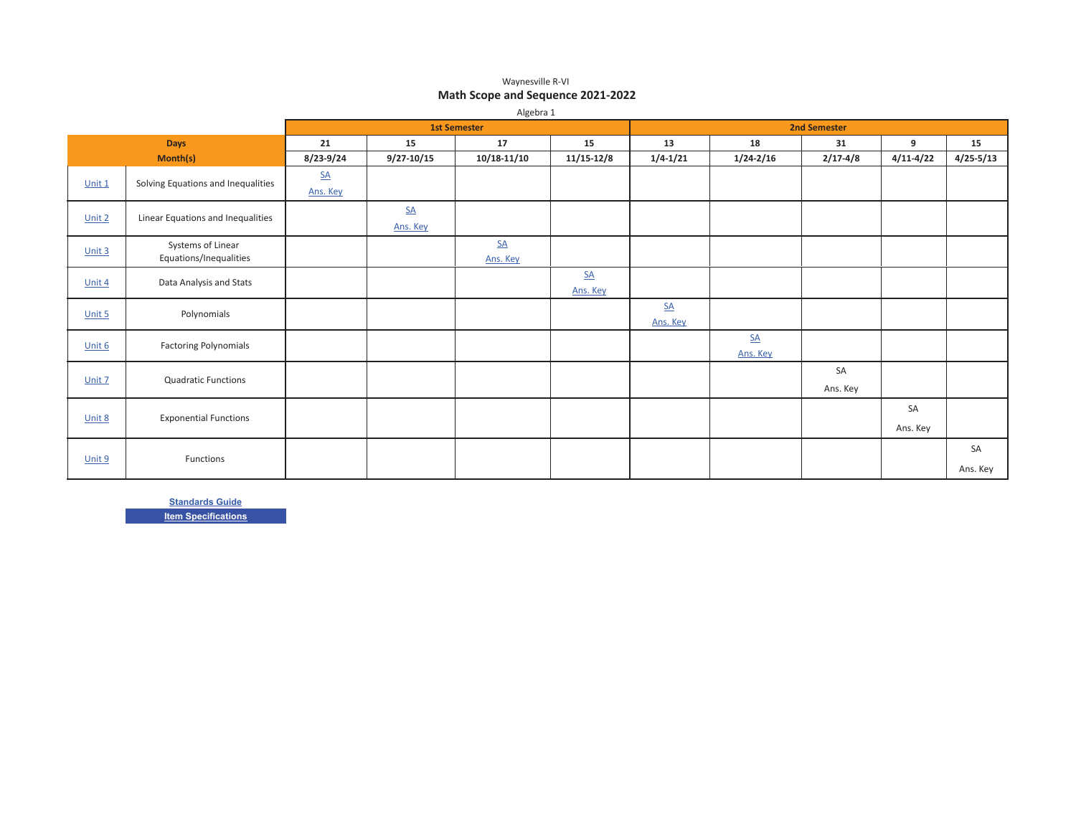#### Waynesville R-VI **Math Scope and Sequence 2021-2022**

|          | Algebra 1                                   |                               |                              |                                       |                                 |                              |                       |                |                |                |
|----------|---------------------------------------------|-------------------------------|------------------------------|---------------------------------------|---------------------------------|------------------------------|-----------------------|----------------|----------------|----------------|
|          |                                             |                               |                              | <b>1st Semester</b>                   |                                 |                              | <b>2nd Semester</b>   |                |                |                |
|          | <b>Days</b>                                 | 21                            | 15                           | 17                                    | 15                              | 13                           | 18                    | 31             | 9              | 15             |
|          | Month(s)                                    | 8/23-9/24                     | $9/27 - 10/15$               | $10/18 - 11/10$                       | $11/15 - 12/8$                  | $1/4 - 1/21$                 | $1/24 - 2/16$         | $2/17 - 4/8$   | $4/11 - 4/22$  | $4/25 - 5/13$  |
| Unit 1   | Solving Equations and Inequalities          | $S\!\!\!\!\Delta$<br>Ans. Key |                              |                                       |                                 |                              |                       |                |                |                |
| Unit 2   | Linear Equations and Inequalities           |                               | $\underline{SA}$<br>Ans. Key |                                       |                                 |                              |                       |                |                |                |
| Unit 3   | Systems of Linear<br>Equations/Inequalities |                               |                              | $\underline{\mathsf{SA}}$<br>Ans. Key |                                 |                              |                       |                |                |                |
| Unit 4   | Data Analysis and Stats                     |                               |                              |                                       | $S_{\underline{A}}$<br>Ans. Key |                              |                       |                |                |                |
| Unit $5$ | Polynomials                                 |                               |                              |                                       |                                 | $\underline{SA}$<br>Ans. Key |                       |                |                |                |
| Unit 6   | <b>Factoring Polynomials</b>                |                               |                              |                                       |                                 |                              | <b>SA</b><br>Ans. Key |                |                |                |
| Unit 7   | <b>Quadratic Functions</b>                  |                               |                              |                                       |                                 |                              |                       | SA<br>Ans. Key |                |                |
| Unit 8   | <b>Exponential Functions</b>                |                               |                              |                                       |                                 |                              |                       |                | SA<br>Ans. Key |                |
| Unit 9   | Functions                                   |                               |                              |                                       |                                 |                              |                       |                |                | SA<br>Ans. Key |

<u>**Standards Guide**</u> **<u>Item Specifications</u>**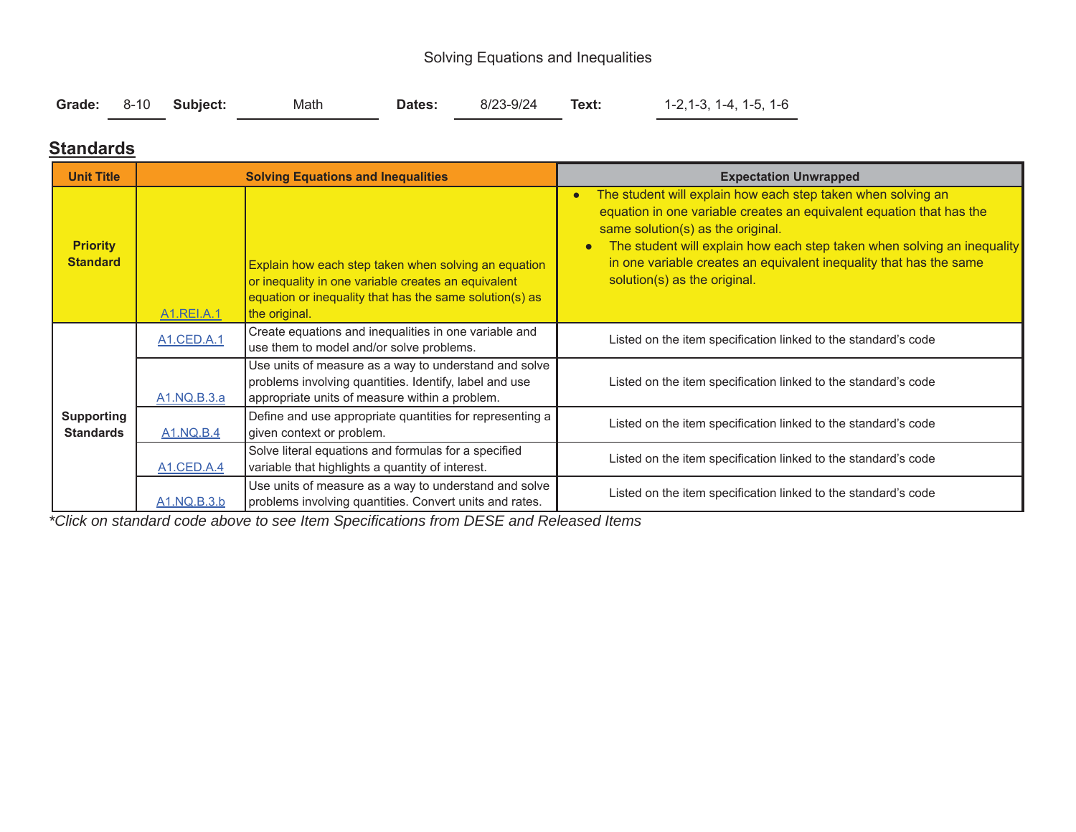## Solving Equations and Inequalities

|  |  | Grade: 8-10 Subject: | Math | Dates: | 8/23-9/24 | Text: | $1-2, 1-3, 1-4, 1-5, 1-6$ |
|--|--|----------------------|------|--------|-----------|-------|---------------------------|
|--|--|----------------------|------|--------|-----------|-------|---------------------------|

### **Standards**

| <b>Unit Title</b>                     |                                     | <b>Solving Equations and Inequalities</b>                                                                                                                                               | <b>Expectation Unwrapped</b>                                                                                                                                                                                                                                                                                                                                                         |
|---------------------------------------|-------------------------------------|-----------------------------------------------------------------------------------------------------------------------------------------------------------------------------------------|--------------------------------------------------------------------------------------------------------------------------------------------------------------------------------------------------------------------------------------------------------------------------------------------------------------------------------------------------------------------------------------|
| <b>Priority</b><br><b>Standard</b>    | A <sub>1</sub> .REI.A. <sub>1</sub> | Explain how each step taken when solving an equation<br>or inequality in one variable creates an equivalent<br>equation or inequality that has the same solution(s) as<br>the original. | The student will explain how each step taken when solving an<br>$\bullet$<br>equation in one variable creates an equivalent equation that has the<br>same solution(s) as the original.<br>The student will explain how each step taken when solving an inequality<br>$\bullet$<br>in one variable creates an equivalent inequality that has the same<br>solution(s) as the original. |
|                                       | A1.CED.A.1                          | Create equations and inequalities in one variable and<br>use them to model and/or solve problems.                                                                                       | Listed on the item specification linked to the standard's code                                                                                                                                                                                                                                                                                                                       |
|                                       | A1.NQ.B.3.a                         | Use units of measure as a way to understand and solve<br>problems involving quantities. Identify, label and use<br>appropriate units of measure within a problem.                       | Listed on the item specification linked to the standard's code                                                                                                                                                                                                                                                                                                                       |
| <b>Supporting</b><br><b>Standards</b> | <b>A1.NQ.B.4</b>                    | Define and use appropriate quantities for representing a<br>given context or problem.                                                                                                   | Listed on the item specification linked to the standard's code                                                                                                                                                                                                                                                                                                                       |
|                                       | A1.CED.A.4                          | Solve literal equations and formulas for a specified<br>variable that highlights a quantity of interest.                                                                                | Listed on the item specification linked to the standard's code                                                                                                                                                                                                                                                                                                                       |
|                                       | A1.NQ.B.3.b                         | Use units of measure as a way to understand and solve<br>problems involving quantities. Convert units and rates.                                                                        | Listed on the item specification linked to the standard's code                                                                                                                                                                                                                                                                                                                       |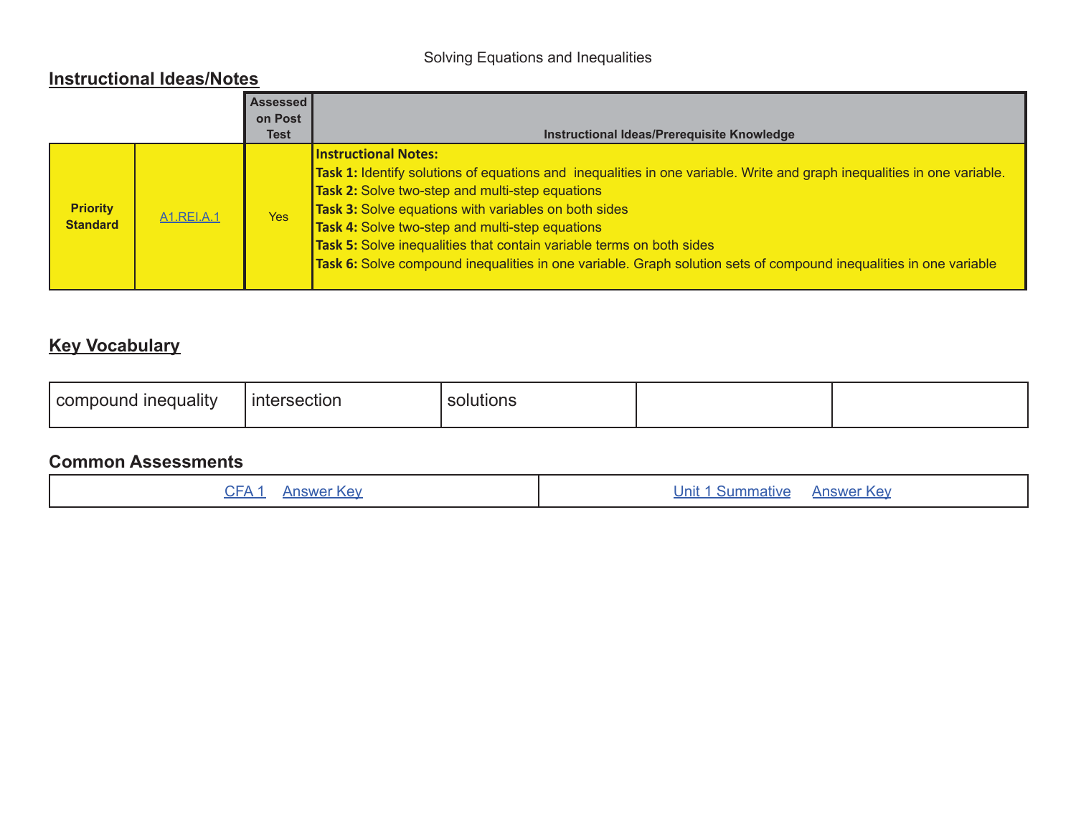## Solving Equations and Inequalities

### **Instructional Ideas/Notes**

|                                    |                   | <b>Assessed</b><br>on Post |                                                                                                                                                                                                                                                                                                                                                                                                                                                                                                                                        |
|------------------------------------|-------------------|----------------------------|----------------------------------------------------------------------------------------------------------------------------------------------------------------------------------------------------------------------------------------------------------------------------------------------------------------------------------------------------------------------------------------------------------------------------------------------------------------------------------------------------------------------------------------|
|                                    |                   | Test                       | Instructional Ideas/Prerequisite Knowledge                                                                                                                                                                                                                                                                                                                                                                                                                                                                                             |
| <b>Priority</b><br><b>Standard</b> | <b>A1.REI.A.1</b> | <b>Yes</b>                 | <b>Instructional Notes:</b><br>Task 1: Identify solutions of equations and inequalities in one variable. Write and graph inequalities in one variable.<br><b>Task 2:</b> Solve two-step and multi-step equations<br><b>Task 3:</b> Solve equations with variables on both sides<br><b>Task 4:</b> Solve two-step and multi-step equations<br>Task 5: Solve inequalities that contain variable terms on both sides<br>Task 6: Solve compound inequalities in one variable. Graph solution sets of compound inequalities in one variable |

## **Key Vocabulary**

| <br>$\sim$<br>inequality<br>con<br>noouna | ntersection<br>11 11 <del>t .</del> | solutions |  |  |
|-------------------------------------------|-------------------------------------|-----------|--|--|
|-------------------------------------------|-------------------------------------|-----------|--|--|

|  | CFA <sub>1</sub><br><b>Answer Key</b> | <b>Unit 1 Summative</b><br><b>Answer Key</b> |
|--|---------------------------------------|----------------------------------------------|
|--|---------------------------------------|----------------------------------------------|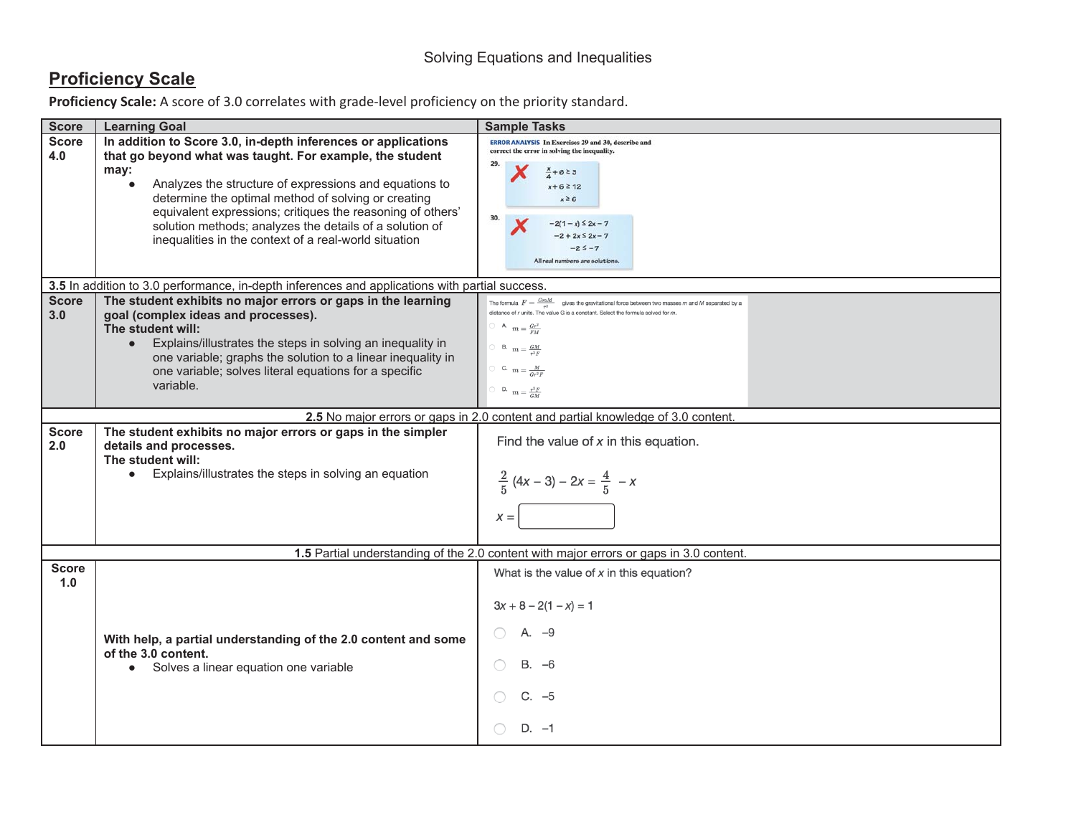## **Proficiency Scale**

| <b>Score</b>                                                                     | <b>Learning Goal</b>                                                                                                                                                                                                                                                                                                                                                                                                                 | <b>Sample Tasks</b>                                                                                                                                                                                                                                                                                                                              |  |  |  |
|----------------------------------------------------------------------------------|--------------------------------------------------------------------------------------------------------------------------------------------------------------------------------------------------------------------------------------------------------------------------------------------------------------------------------------------------------------------------------------------------------------------------------------|--------------------------------------------------------------------------------------------------------------------------------------------------------------------------------------------------------------------------------------------------------------------------------------------------------------------------------------------------|--|--|--|
| <b>Score</b><br>4.0                                                              | In addition to Score 3.0, in-depth inferences or applications<br>that go beyond what was taught. For example, the student<br>may:<br>Analyzes the structure of expressions and equations to<br>determine the optimal method of solving or creating<br>equivalent expressions; critiques the reasoning of others'<br>solution methods; analyzes the details of a solution of<br>inequalities in the context of a real-world situation | <b>ERROR ANALYSIS In Exercises 29 and 30, describe and</b><br>correct the error in solving the inequality.<br>$+623$<br>$x + 6 \ge 12$<br>$x \ge 6$<br>30.<br>$-2(1-x) \le 2x - 7$<br>$-2 + 2x \le 2x - 7$<br>$-25 - 7$<br>All real numbers are solutions.                                                                                       |  |  |  |
|                                                                                  | 3.5 In addition to 3.0 performance, in-depth inferences and applications with partial success.                                                                                                                                                                                                                                                                                                                                       |                                                                                                                                                                                                                                                                                                                                                  |  |  |  |
| <b>Score</b><br>3.0                                                              | The student exhibits no major errors or gaps in the learning<br>goal (complex ideas and processes).<br>The student will:<br>Explains/illustrates the steps in solving an inequality in<br>$\bullet$<br>one variable; graphs the solution to a linear inequality in<br>one variable; solves literal equations for a specific<br>variable.                                                                                             | The formula $F = \frac{GmM}{r^2}$ gives the gravitational force between two masses m and M separated by a<br>distance of $r$ units. The value G is a constant. Select the formula solved for $m$<br>$\supset$ A $m = \frac{Gr^2}{FM}$<br>$\bigcirc$ B. $m = \frac{GM}{r^2F}$<br>C. $m = \frac{M}{Gr^2F}$<br>$\bigcirc$ D. $m = \frac{r^2 F}{GM}$ |  |  |  |
| 2.5 No major errors or gaps in 2.0 content and partial knowledge of 3.0 content. |                                                                                                                                                                                                                                                                                                                                                                                                                                      |                                                                                                                                                                                                                                                                                                                                                  |  |  |  |
| <b>Score</b><br>2.0                                                              | The student exhibits no major errors or gaps in the simpler<br>details and processes.<br>The student will:<br>Explains/illustrates the steps in solving an equation<br>$\bullet$                                                                                                                                                                                                                                                     | Find the value of $x$ in this equation.<br>$\frac{2}{5}(4x-3)-2x=\frac{4}{5}-x$<br>$x =$                                                                                                                                                                                                                                                         |  |  |  |
|                                                                                  |                                                                                                                                                                                                                                                                                                                                                                                                                                      | 1.5 Partial understanding of the 2.0 content with major errors or gaps in 3.0 content.                                                                                                                                                                                                                                                           |  |  |  |
| <b>Score</b><br>1.0                                                              | With help, a partial understanding of the 2.0 content and some<br>of the 3.0 content.<br>• Solves a linear equation one variable                                                                                                                                                                                                                                                                                                     | What is the value of $x$ in this equation?<br>$3x + 8 - 2(1 - x) = 1$<br>A. -9<br>$B. -6$<br>$C. -5$<br>$D. -1$                                                                                                                                                                                                                                  |  |  |  |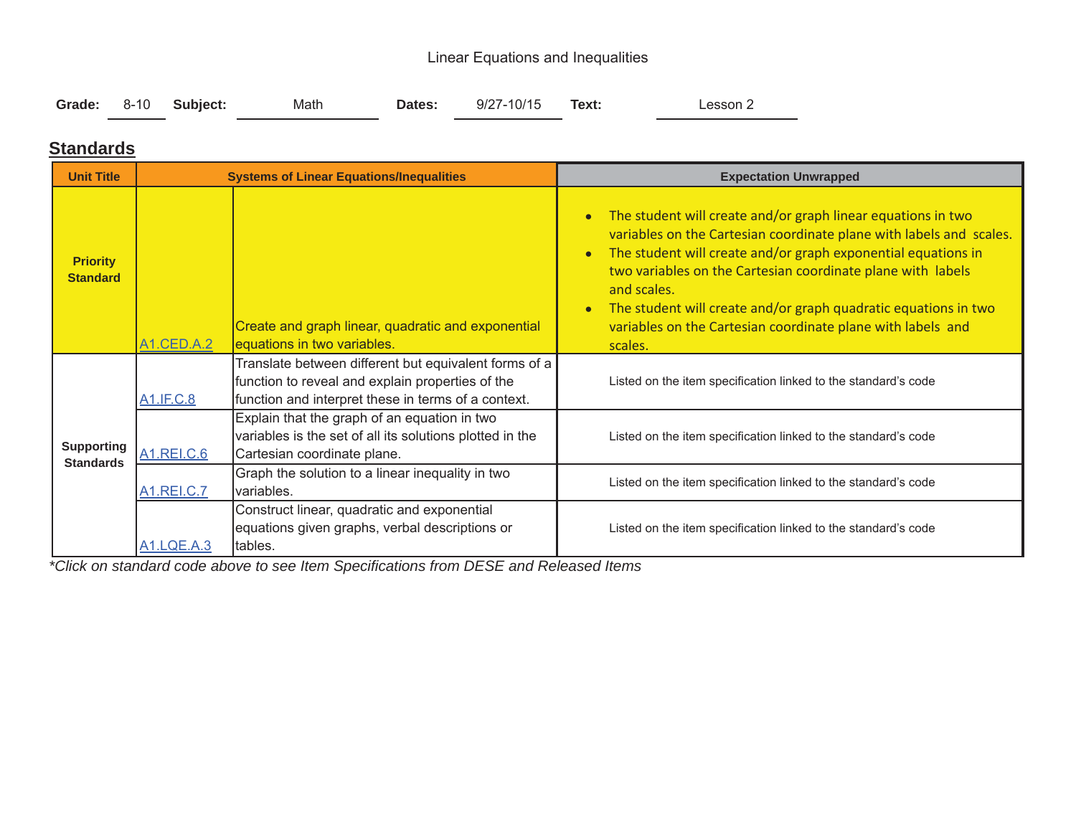## Linear Equations and Inequalities

|  |  | Grade: 8-10 Subject: | Math | Dates: | 9/27-10/15 | Text: | Lesson 2 |
|--|--|----------------------|------|--------|------------|-------|----------|
|--|--|----------------------|------|--------|------------|-------|----------|

### **Standards**

| <b>Unit Title</b>                     |                   | <b>Systems of Linear Equations/Inequalities</b>                                                                                                                  | <b>Expectation Unwrapped</b>                                                                                                                                                                                                                                                                                                                                                                                                                                           |
|---------------------------------------|-------------------|------------------------------------------------------------------------------------------------------------------------------------------------------------------|------------------------------------------------------------------------------------------------------------------------------------------------------------------------------------------------------------------------------------------------------------------------------------------------------------------------------------------------------------------------------------------------------------------------------------------------------------------------|
| <b>Priority</b><br><b>Standard</b>    | A1.CED.A.2        | Create and graph linear, quadratic and exponential<br>equations in two variables.                                                                                | The student will create and/or graph linear equations in two<br>$\bullet$<br>variables on the Cartesian coordinate plane with labels and scales.<br>The student will create and/or graph exponential equations in<br>$\bullet$<br>two variables on the Cartesian coordinate plane with labels<br>and scales.<br>The student will create and/or graph quadratic equations in two<br>$\bullet$<br>variables on the Cartesian coordinate plane with labels and<br>scales. |
|                                       | <b>A1.IF.C.8</b>  | Translate between different but equivalent forms of a<br>function to reveal and explain properties of the<br>function and interpret these in terms of a context. | Listed on the item specification linked to the standard's code                                                                                                                                                                                                                                                                                                                                                                                                         |
| <b>Supporting</b><br><b>Standards</b> | <b>A1.REI.C.6</b> | Explain that the graph of an equation in two<br>variables is the set of all its solutions plotted in the<br>Cartesian coordinate plane.                          | Listed on the item specification linked to the standard's code                                                                                                                                                                                                                                                                                                                                                                                                         |
|                                       | <b>A1.REI.C.7</b> | Graph the solution to a linear inequality in two<br>Ivariables.                                                                                                  | Listed on the item specification linked to the standard's code                                                                                                                                                                                                                                                                                                                                                                                                         |
|                                       | <b>A1.LQE.A.3</b> | Construct linear, quadratic and exponential<br>equations given graphs, verbal descriptions or<br>tables.                                                         | Listed on the item specification linked to the standard's code                                                                                                                                                                                                                                                                                                                                                                                                         |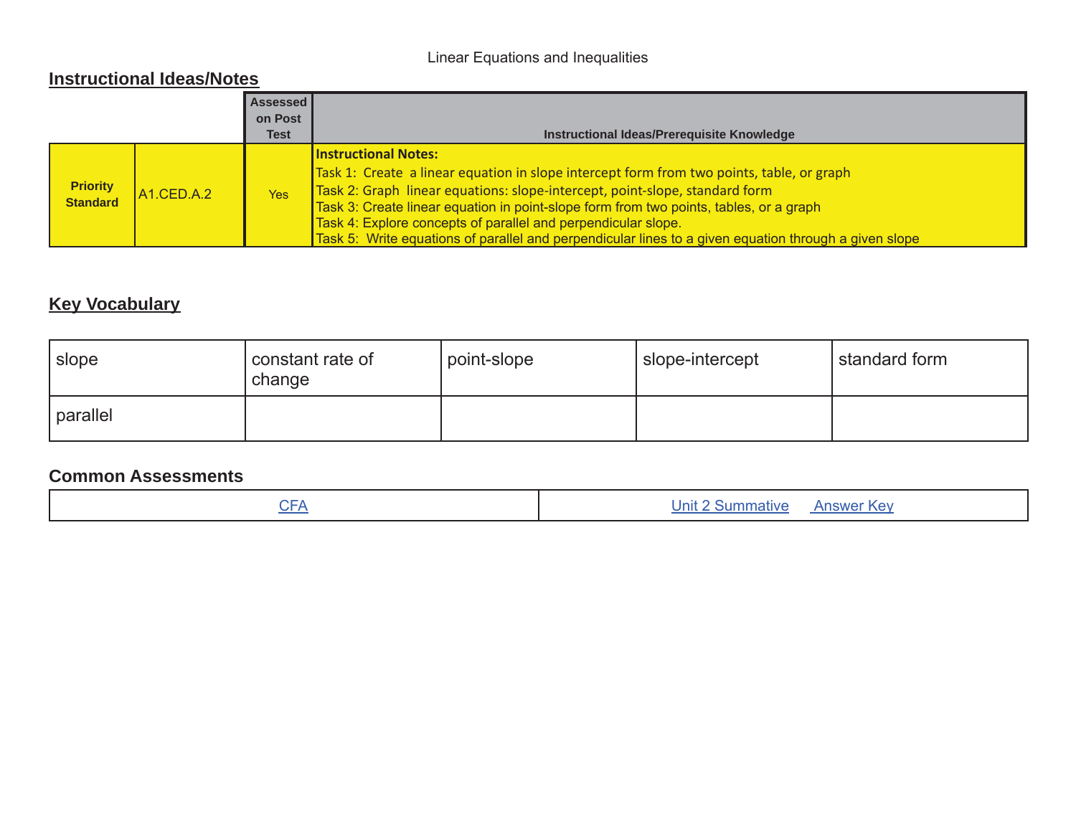## Linear Equations and Inequalities

### **Instructional Ideas/Notes**

|                                    |                         | Assessed<br>on Post<br>Test | Instructional Ideas/Prerequisite Knowledge                                                                                                                                                                                                                                                                                                                                                                                                                                  |
|------------------------------------|-------------------------|-----------------------------|-----------------------------------------------------------------------------------------------------------------------------------------------------------------------------------------------------------------------------------------------------------------------------------------------------------------------------------------------------------------------------------------------------------------------------------------------------------------------------|
| <b>Priority</b><br><b>Standard</b> | A <sub>1</sub> .CED.A.2 | <b>Yes</b>                  | <b>Instructional Notes:</b><br>Task 1: Create a linear equation in slope intercept form from two points, table, or graph<br>Task 2: Graph linear equations: slope-intercept, point-slope, standard form<br>Task 3: Create linear equation in point-slope form from two points, tables, or a graph<br>Task 4: Explore concepts of parallel and perpendicular slope.<br>Task 5: Write equations of parallel and perpendicular lines to a given equation through a given slope |

## **Key Vocabulary**

| slope    | constant rate of<br>change | point-slope | slope-intercept | standard form |
|----------|----------------------------|-------------|-----------------|---------------|
| parallel |                            |             |                 |               |

| $\cap$<br>- | <b>Answer Key</b><br>Summative |
|-------------|--------------------------------|
|             |                                |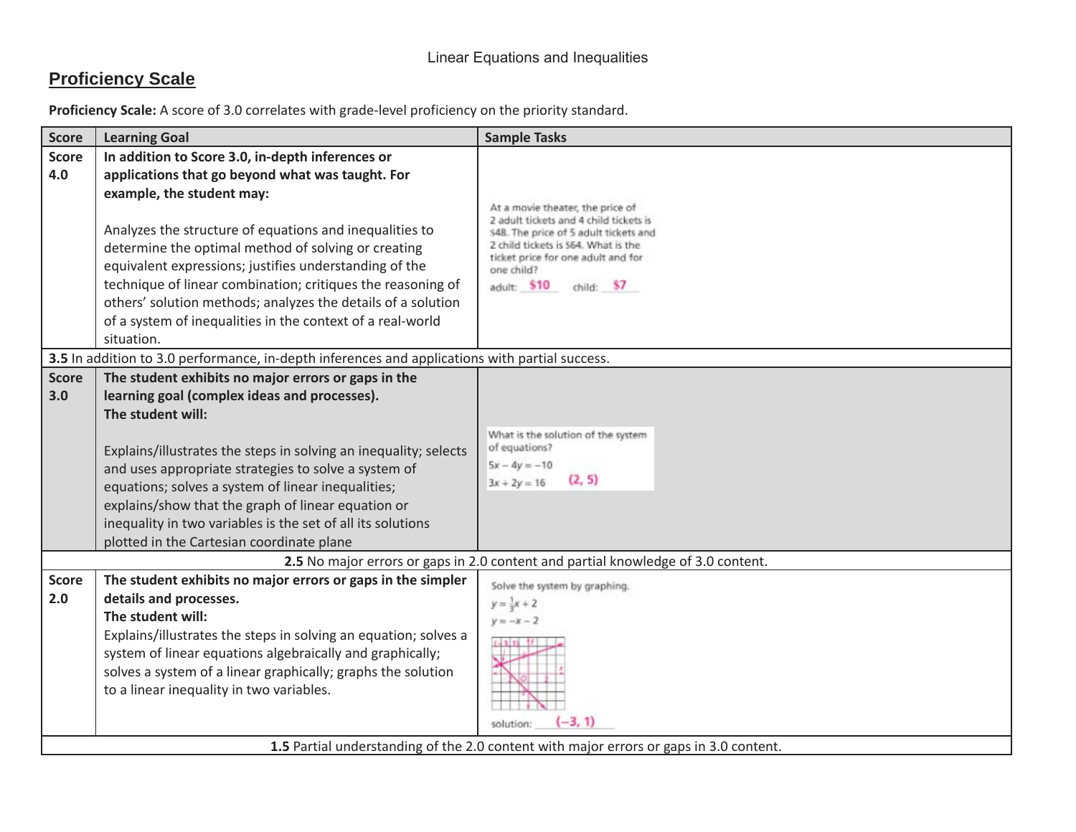## **Proficiency Scale**

| In addition to Score 3.0, in-depth inferences or<br>applications that go beyond what was taught. For                                                                                                                                                                                                                                                                                                                  |                                                                                                                                                                                                                                                                                                                |
|-----------------------------------------------------------------------------------------------------------------------------------------------------------------------------------------------------------------------------------------------------------------------------------------------------------------------------------------------------------------------------------------------------------------------|----------------------------------------------------------------------------------------------------------------------------------------------------------------------------------------------------------------------------------------------------------------------------------------------------------------|
| example, the student may:<br>Analyzes the structure of equations and inequalities to<br>determine the optimal method of solving or creating<br>equivalent expressions; justifies understanding of the<br>technique of linear combination; critiques the reasoning of<br>others' solution methods; analyzes the details of a solution<br>of a system of inequalities in the context of a real-world<br>situation.      | At a movie theater, the price of<br>2 adult tickets and 4 child tickets is<br>S48. The price of 5 adult tickets and<br>2 child tickets is 564. What is the<br>ticket price for one adult and for<br>one child?<br>adult: \$10<br>child: \$7                                                                    |
|                                                                                                                                                                                                                                                                                                                                                                                                                       |                                                                                                                                                                                                                                                                                                                |
| learning goal (complex ideas and processes).<br>The student will:<br>Explains/illustrates the steps in solving an inequality; selects<br>and uses appropriate strategies to solve a system of<br>equations; solves a system of linear inequalities;<br>explains/show that the graph of linear equation or<br>inequality in two variables is the set of all its solutions<br>plotted in the Cartesian coordinate plane | What is the solution of the system<br>of equations?<br>$5x - 4y = -10$<br>(2, 5)<br>$3x + 2y = 16$                                                                                                                                                                                                             |
|                                                                                                                                                                                                                                                                                                                                                                                                                       | 2.5 No major errors or gaps in 2.0 content and partial knowledge of 3.0 content.                                                                                                                                                                                                                               |
| details and processes.<br>The student will:<br>Explains/illustrates the steps in solving an equation; solves a<br>system of linear equations algebraically and graphically;<br>solves a system of a linear graphically; graphs the solution<br>to a linear inequality in two variables.                                                                                                                               | Solve the system by graphing.<br>$y = \frac{1}{2}x + 2$<br>$y=-x-2$<br>$(-3, 1)$<br>solution:                                                                                                                                                                                                                  |
|                                                                                                                                                                                                                                                                                                                                                                                                                       | 3.5 In addition to 3.0 performance, in-depth inferences and applications with partial success.<br>The student exhibits no major errors or gaps in the<br>The student exhibits no major errors or gaps in the simpler<br>1.5 Partial understanding of the 2.0 content with major errors or gaps in 3.0 content. |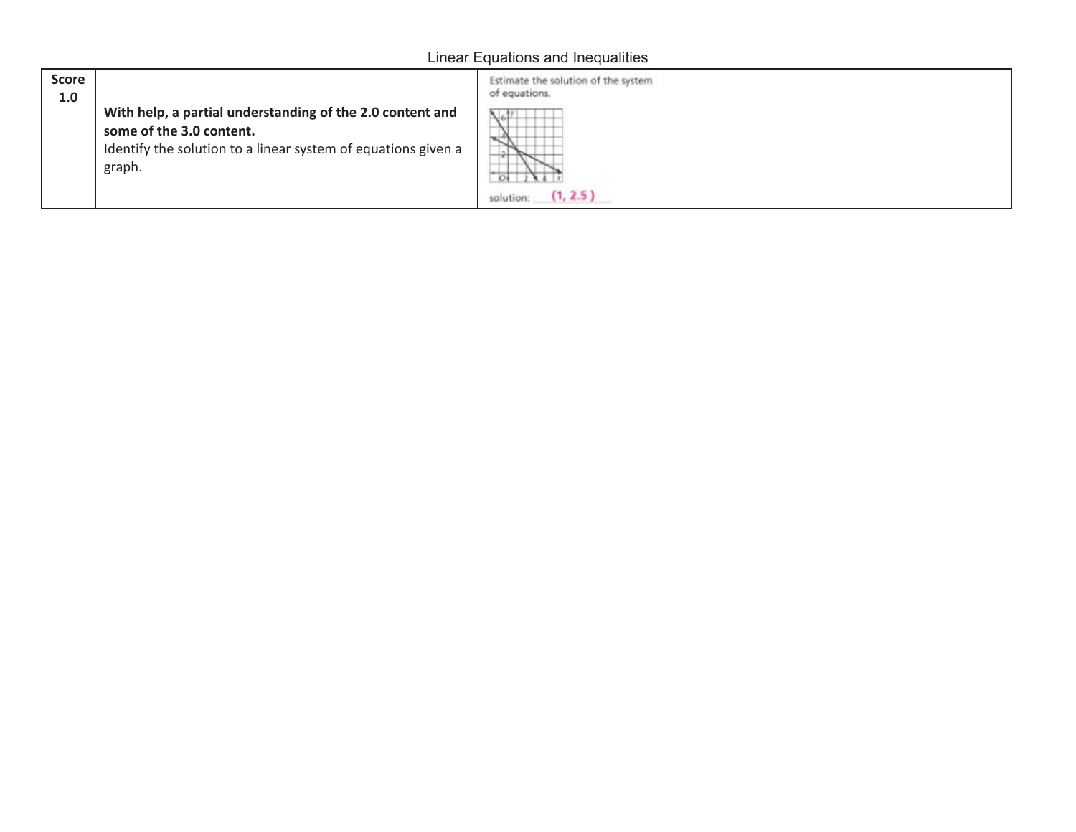## Linear Equations and Inequalities

| Score<br>1.0 | With help, a partial understanding of the 2.0 content and<br>some of the 3.0 content.<br>Identify the solution to a linear system of equations given a<br>graph. | Estimate the solution of the system<br>of equations.<br>1000000000000000000<br>(1, 2.5)<br>solution: |
|--------------|------------------------------------------------------------------------------------------------------------------------------------------------------------------|------------------------------------------------------------------------------------------------------|
|--------------|------------------------------------------------------------------------------------------------------------------------------------------------------------------|------------------------------------------------------------------------------------------------------|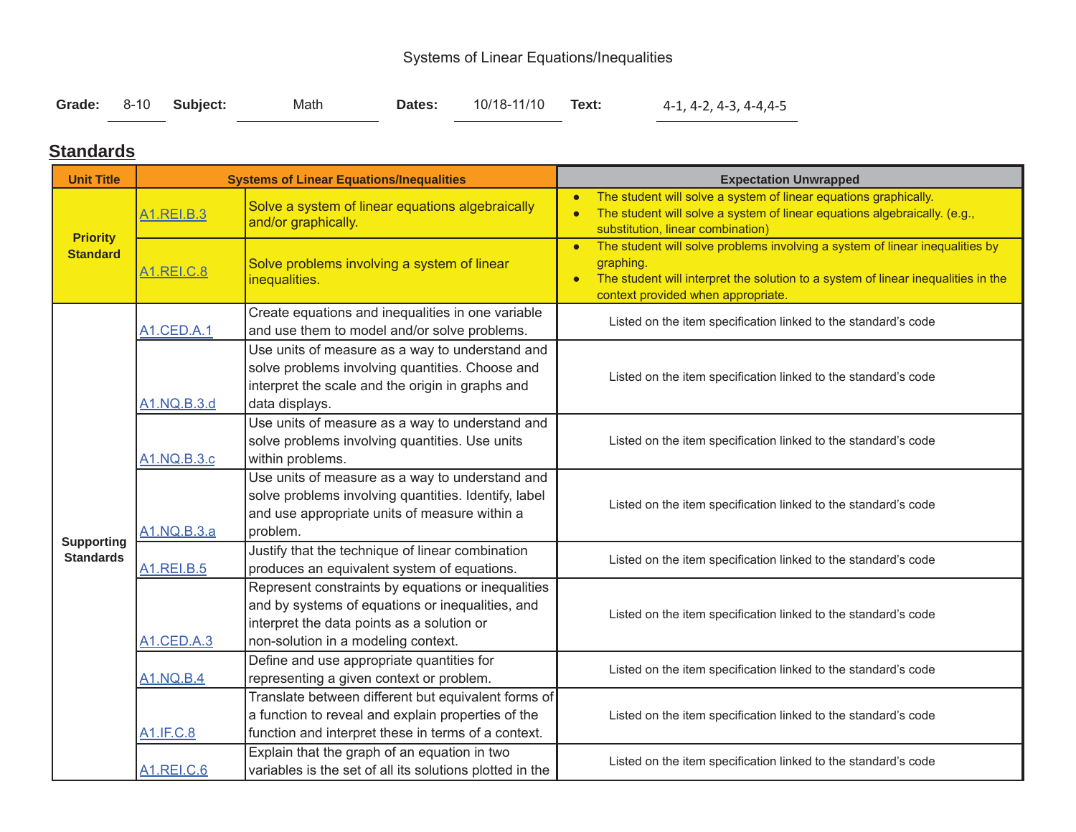# Systems of Linear Equations/Inequalities

|  |  | Grade: 8-10 Subject: | Math | Dates: | 10/18-11/10 <b>Text:</b> |  | 4-1, 4-2, 4-3, 4-4,4-5 |
|--|--|----------------------|------|--------|--------------------------|--|------------------------|
|--|--|----------------------|------|--------|--------------------------|--|------------------------|

### **Standards**

| <b>Unit Title</b> |                         | <b>Systems of Linear Equations/Inequalities</b>                                                                                                                                             | <b>Expectation Unwrapped</b>                                                                                                                                                                                                      |
|-------------------|-------------------------|---------------------------------------------------------------------------------------------------------------------------------------------------------------------------------------------|-----------------------------------------------------------------------------------------------------------------------------------------------------------------------------------------------------------------------------------|
| <b>Priority</b>   | A <sub>1</sub> .REI.B.3 | Solve a system of linear equations algebraically<br>and/or graphically.                                                                                                                     | The student will solve a system of linear equations graphically.<br>$\bullet$<br>The student will solve a system of linear equations algebraically. (e.g.,<br>substitution, linear combination)                                   |
| <b>Standard</b>   | A1.REI.C.8              | Solve problems involving a system of linear<br>inequalities.                                                                                                                                | The student will solve problems involving a system of linear inequalities by<br>$\bullet$<br>graphing.<br>The student will interpret the solution to a system of linear inequalities in the<br>context provided when appropriate. |
|                   | A1.CED.A.1              | Create equations and inequalities in one variable<br>and use them to model and/or solve problems.                                                                                           | Listed on the item specification linked to the standard's code                                                                                                                                                                    |
|                   | A1.NQ.B.3.d             | Use units of measure as a way to understand and<br>solve problems involving quantities. Choose and<br>interpret the scale and the origin in graphs and<br>data displays.                    | Listed on the item specification linked to the standard's code                                                                                                                                                                    |
|                   | A1.NQ.B.3.c             | Use units of measure as a way to understand and<br>solve problems involving quantities. Use units<br>within problems.                                                                       | Listed on the item specification linked to the standard's code                                                                                                                                                                    |
| <b>Supporting</b> | A1.NQ.B.3.a             | Use units of measure as a way to understand and<br>solve problems involving quantities. Identify, label<br>and use appropriate units of measure within a<br>problem.                        | Listed on the item specification linked to the standard's code                                                                                                                                                                    |
| <b>Standards</b>  | <b>A1.REI.B.5</b>       | Justify that the technique of linear combination<br>produces an equivalent system of equations.                                                                                             | Listed on the item specification linked to the standard's code                                                                                                                                                                    |
|                   | <b>A1.CED.A.3</b>       | Represent constraints by equations or inequalities<br>and by systems of equations or inequalities, and<br>interpret the data points as a solution or<br>non-solution in a modeling context. | Listed on the item specification linked to the standard's code                                                                                                                                                                    |
|                   | <b>A1.NQ.B.4</b>        | Define and use appropriate quantities for<br>representing a given context or problem.                                                                                                       | Listed on the item specification linked to the standard's code                                                                                                                                                                    |
|                   | A1.IF.C.8               | Translate between different but equivalent forms of<br>a function to reveal and explain properties of the<br>function and interpret these in terms of a context.                            | Listed on the item specification linked to the standard's code                                                                                                                                                                    |
|                   | <b>A1.REI.C.6</b>       | Explain that the graph of an equation in two<br>variables is the set of all its solutions plotted in the                                                                                    | Listed on the item specification linked to the standard's code                                                                                                                                                                    |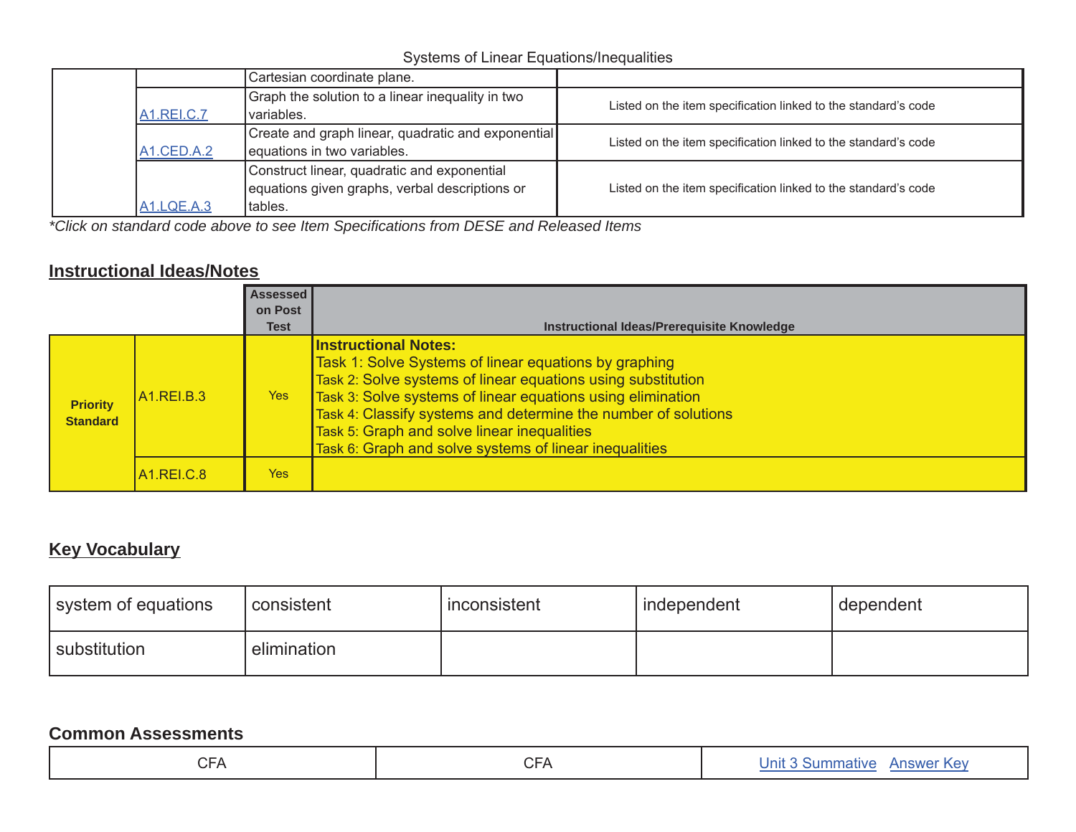### Systems of Linear Equations/Inequalities

|                   | Cartesian coordinate plane.                        |                                                                |
|-------------------|----------------------------------------------------|----------------------------------------------------------------|
|                   | Graph the solution to a linear inequality in two   | Listed on the item specification linked to the standard's code |
| <b>A1.REI.C.7</b> | variables.                                         |                                                                |
|                   | Create and graph linear, quadratic and exponential | Listed on the item specification linked to the standard's code |
| A1.CED.A.2        | equations in two variables.                        |                                                                |
|                   | Construct linear, quadratic and exponential        |                                                                |
|                   | equations given graphs, verbal descriptions or     | Listed on the item specification linked to the standard's code |
| <b>A1.LQE.A.3</b> | tables.                                            |                                                                |

*\*Click on standard code above to see Item Specifications from DESE and Released Items*

### **Instructional Ideas/Notes**

|                                    |                                  | <b>Assessed</b><br>on Post<br><b>Test</b> | Instructional Ideas/Prerequisite Knowledge                                                                                                                                                                                                                                                                                                                                                     |
|------------------------------------|----------------------------------|-------------------------------------------|------------------------------------------------------------------------------------------------------------------------------------------------------------------------------------------------------------------------------------------------------------------------------------------------------------------------------------------------------------------------------------------------|
| <b>Priority</b><br><b>Standard</b> | A <sub>1</sub> RELB <sub>3</sub> | Yes                                       | <b>Instructional Notes:</b><br>Task 1: Solve Systems of linear equations by graphing<br>Task 2: Solve systems of linear equations using substitution<br>Task 3: Solve systems of linear equations using elimination<br>Task 4: Classify systems and determine the number of solutions<br>Task 5: Graph and solve linear inequalities<br>Task 6: Graph and solve systems of linear inequalities |
|                                    | <b>A1.REI.C.8</b>                | Yes                                       |                                                                                                                                                                                                                                                                                                                                                                                                |

## **Key Vocabulary**

| system of equations | consistent  | inconsistent | independent | dependent |
|---------------------|-------------|--------------|-------------|-----------|
| substitution        | elimination |              |             |           |

| $\cap$<br>$-\Delta$<br>$\cup$ $\Gamma$ | $\sim$ $\sim$<br>$-1$<br>◡ | Kev<br>Jnit<br>$\sim$<br>almm<br>mative<br>swe <sup>.</sup> |
|----------------------------------------|----------------------------|-------------------------------------------------------------|
|                                        |                            |                                                             |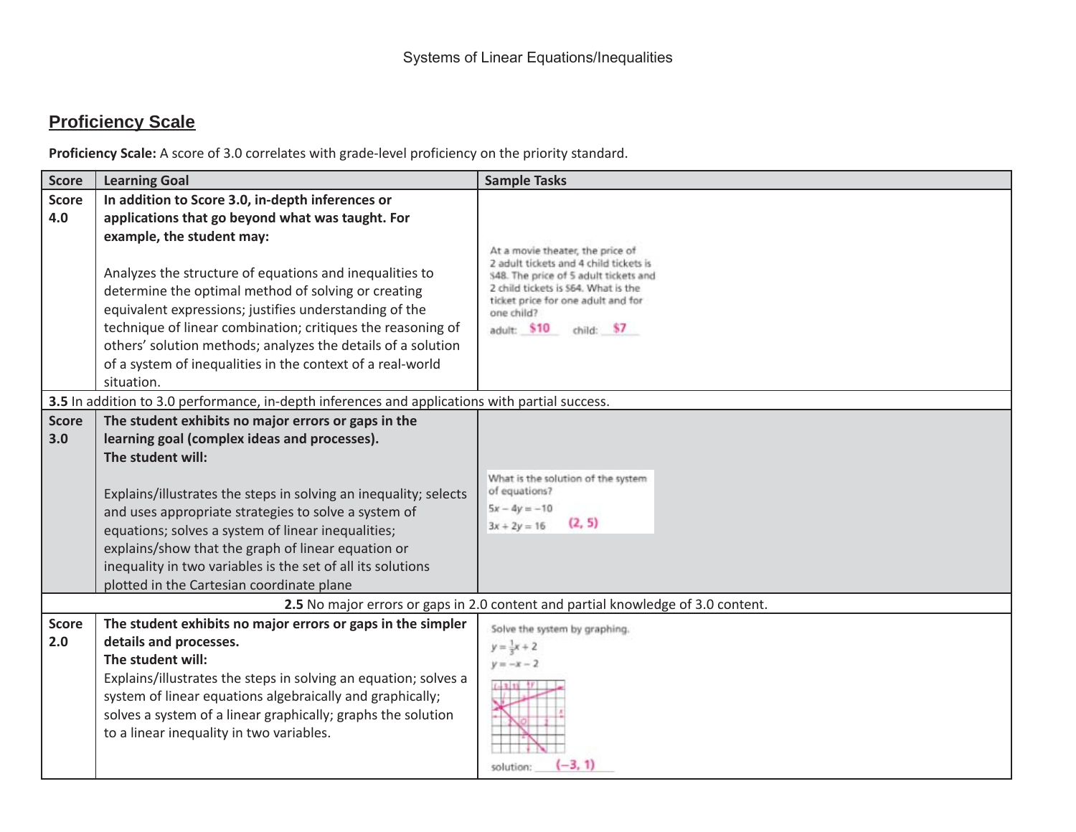## **Proficiency Scale**

| <b>Score</b>        | <b>Learning Goal</b>                                                                                                                                                                                                                                                                                                                                                                                                                                                                                                     | <b>Sample Tasks</b>                                                                                                                                                                                                                          |
|---------------------|--------------------------------------------------------------------------------------------------------------------------------------------------------------------------------------------------------------------------------------------------------------------------------------------------------------------------------------------------------------------------------------------------------------------------------------------------------------------------------------------------------------------------|----------------------------------------------------------------------------------------------------------------------------------------------------------------------------------------------------------------------------------------------|
| <b>Score</b><br>4.0 | In addition to Score 3.0, in-depth inferences or<br>applications that go beyond what was taught. For<br>example, the student may:<br>Analyzes the structure of equations and inequalities to<br>determine the optimal method of solving or creating<br>equivalent expressions; justifies understanding of the<br>technique of linear combination; critiques the reasoning of<br>others' solution methods; analyzes the details of a solution<br>of a system of inequalities in the context of a real-world<br>situation. | At a movie theater, the price of<br>2 adult tickets and 4 child tickets is<br>S48. The price of 5 adult tickets and<br>2 child tickets is \$64. What is the<br>ticket price for one adult and for<br>one child?<br>adult: \$10<br>child: \$7 |
|                     | 3.5 In addition to 3.0 performance, in-depth inferences and applications with partial success.                                                                                                                                                                                                                                                                                                                                                                                                                           |                                                                                                                                                                                                                                              |
| <b>Score</b><br>3.0 | The student exhibits no major errors or gaps in the<br>learning goal (complex ideas and processes).<br>The student will:<br>Explains/illustrates the steps in solving an inequality; selects<br>and uses appropriate strategies to solve a system of<br>equations; solves a system of linear inequalities;<br>explains/show that the graph of linear equation or<br>inequality in two variables is the set of all its solutions<br>plotted in the Cartesian coordinate plane                                             | What is the solution of the system<br>of equations?<br>$5x - 4y = -10$<br>(2, 5)<br>$3x + 2y = 16$                                                                                                                                           |
|                     |                                                                                                                                                                                                                                                                                                                                                                                                                                                                                                                          | 2.5 No major errors or gaps in 2.0 content and partial knowledge of 3.0 content.                                                                                                                                                             |
| <b>Score</b><br>2.0 | The student exhibits no major errors or gaps in the simpler<br>details and processes.<br>The student will:<br>Explains/illustrates the steps in solving an equation; solves a<br>system of linear equations algebraically and graphically;<br>solves a system of a linear graphically; graphs the solution<br>to a linear inequality in two variables.                                                                                                                                                                   | Solve the system by graphing.<br>$y = \frac{1}{2}x + 2$<br>$y=-x-2$<br>$-3, 1)$<br>solution                                                                                                                                                  |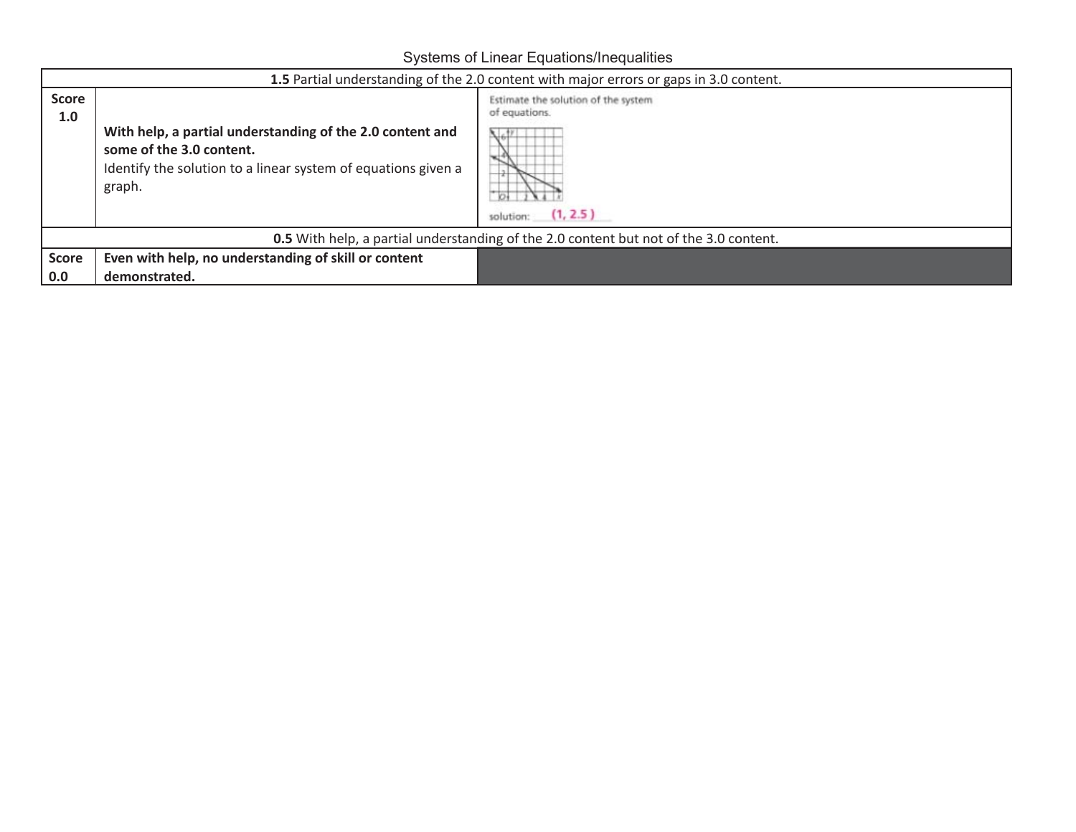Systems of Linear Equations/Inequalities

|                     | 1.5 Partial understanding of the 2.0 content with major errors or gaps in 3.0 content.                                                                           |                                                                                     |  |  |  |
|---------------------|------------------------------------------------------------------------------------------------------------------------------------------------------------------|-------------------------------------------------------------------------------------|--|--|--|
| <b>Score</b><br>1.0 | With help, a partial understanding of the 2.0 content and<br>some of the 3.0 content.<br>Identify the solution to a linear system of equations given a<br>graph. | Estimate the solution of the system<br>of equations.<br>Юŧ<br>(1, 2.5)<br>solution: |  |  |  |
|                     | <b>0.5</b> With help, a partial understanding of the 2.0 content but not of the 3.0 content.                                                                     |                                                                                     |  |  |  |
| <b>Score</b>        | Even with help, no understanding of skill or content                                                                                                             |                                                                                     |  |  |  |
| 0.0                 | demonstrated.                                                                                                                                                    |                                                                                     |  |  |  |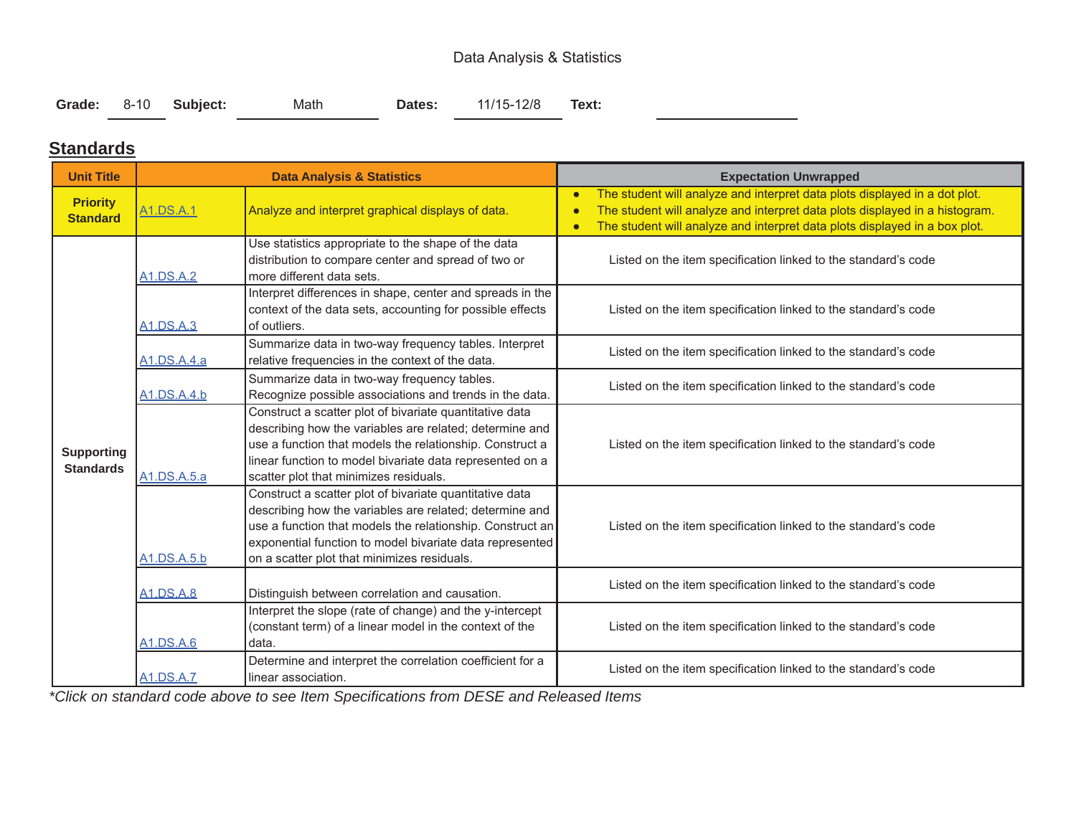### Data Analysis & Statistics

|  | Grade: 8-10 Subject: | Math | Dates: | 11/15-12/8 | Text: |
|--|----------------------|------|--------|------------|-------|
|  |                      |      |        |            |       |

### **Standards**

| <b>Unit Title</b>                     |                                                                | <b>Data Analysis &amp; Statistics</b>                                                                                                                                                                                                                                                      | <b>Expectation Unwrapped</b>                                                                                                                                                                                                                                                   |
|---------------------------------------|----------------------------------------------------------------|--------------------------------------------------------------------------------------------------------------------------------------------------------------------------------------------------------------------------------------------------------------------------------------------|--------------------------------------------------------------------------------------------------------------------------------------------------------------------------------------------------------------------------------------------------------------------------------|
| <b>Priority</b><br><b>Standard</b>    | A1.DS.A.1<br>Analyze and interpret graphical displays of data. |                                                                                                                                                                                                                                                                                            | The student will analyze and interpret data plots displayed in a dot plot.<br>$\bullet$<br>The student will analyze and interpret data plots displayed in a histogram.<br>$\bullet$<br>The student will analyze and interpret data plots displayed in a box plot.<br>$\bullet$ |
|                                       | <b>A1.DS.A.2</b>                                               | Use statistics appropriate to the shape of the data<br>distribution to compare center and spread of two or<br>more different data sets.                                                                                                                                                    | Listed on the item specification linked to the standard's code                                                                                                                                                                                                                 |
|                                       | <b>A1.DS.A.3</b>                                               | Interpret differences in shape, center and spreads in the<br>context of the data sets, accounting for possible effects<br>of outliers.                                                                                                                                                     | Listed on the item specification linked to the standard's code                                                                                                                                                                                                                 |
|                                       | A <sub>1.DS.A.4.a</sub>                                        | Summarize data in two-way frequency tables. Interpret<br>relative frequencies in the context of the data.                                                                                                                                                                                  | Listed on the item specification linked to the standard's code                                                                                                                                                                                                                 |
|                                       | A1.DS.A.4.b                                                    | Summarize data in two-way frequency tables.<br>Recognize possible associations and trends in the data.                                                                                                                                                                                     | Listed on the item specification linked to the standard's code                                                                                                                                                                                                                 |
| <b>Supporting</b><br><b>Standards</b> | A1.DS.A.5.a                                                    | Construct a scatter plot of bivariate quantitative data<br>describing how the variables are related; determine and<br>use a function that models the relationship. Construct a<br>linear function to model bivariate data represented on a<br>scatter plot that minimizes residuals.       | Listed on the item specification linked to the standard's code                                                                                                                                                                                                                 |
|                                       | A1.DS.A.5.b                                                    | Construct a scatter plot of bivariate quantitative data<br>describing how the variables are related; determine and<br>use a function that models the relationship. Construct an<br>exponential function to model bivariate data represented<br>on a scatter plot that minimizes residuals. | Listed on the item specification linked to the standard's code                                                                                                                                                                                                                 |
|                                       | <b>A1.DS.A.8</b>                                               | Distinguish between correlation and causation.                                                                                                                                                                                                                                             | Listed on the item specification linked to the standard's code                                                                                                                                                                                                                 |
|                                       | A1.DS.A.6                                                      | Interpret the slope (rate of change) and the y-intercept<br>(constant term) of a linear model in the context of the<br>data.                                                                                                                                                               | Listed on the item specification linked to the standard's code                                                                                                                                                                                                                 |
|                                       | <b>A1.DS.A.7</b>                                               | Determine and interpret the correlation coefficient for a<br>linear association.                                                                                                                                                                                                           | Listed on the item specification linked to the standard's code                                                                                                                                                                                                                 |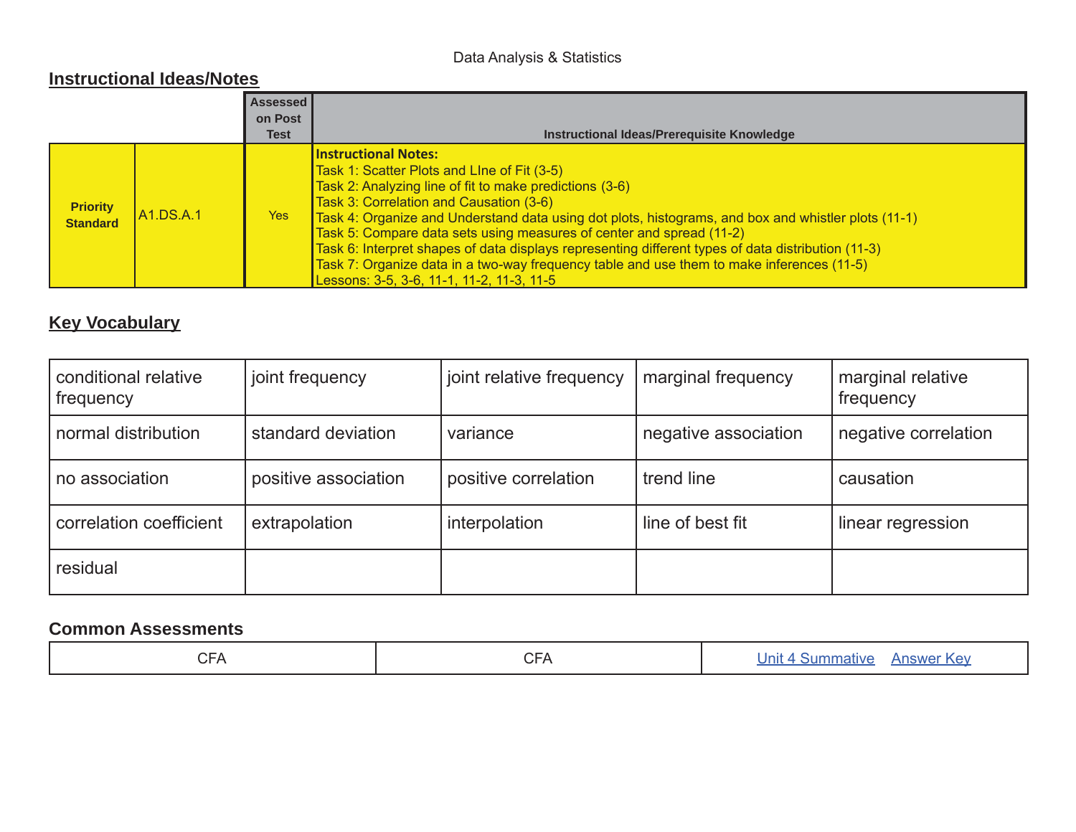### Data Analysis & Statistics

### **Instructional Ideas/Notes**

|                                    |                        | <b>Assessed</b><br>on Post |                                                                                                                                                                                                                                                                                                                                                                                                                                                                                                                                                                                                                 |
|------------------------------------|------------------------|----------------------------|-----------------------------------------------------------------------------------------------------------------------------------------------------------------------------------------------------------------------------------------------------------------------------------------------------------------------------------------------------------------------------------------------------------------------------------------------------------------------------------------------------------------------------------------------------------------------------------------------------------------|
|                                    |                        | Test                       | Instructional Ideas/Prerequisite Knowledge                                                                                                                                                                                                                                                                                                                                                                                                                                                                                                                                                                      |
| <b>Priority</b><br><b>Standard</b> | $\mathsf{IA1}$ .DS.A.1 | Yes <b>Yes</b>             | <b>Instructional Notes:</b><br>Task 1: Scatter Plots and Line of Fit (3-5)<br>Task 2: Analyzing line of fit to make predictions (3-6)<br>Task 3: Correlation and Causation (3-6)<br>Task 4: Organize and Understand data using dot plots, histograms, and box and whistler plots (11-1)<br>Task 5: Compare data sets using measures of center and spread (11-2)<br>Task 6: Interpret shapes of data displays representing different types of data distribution (11-3)<br>Task 7: Organize data in a two-way frequency table and use them to make inferences (11-5)<br>Lessons: 3-5, 3-6, 11-1, 11-2, 11-3, 11-5 |

## **Key Vocabulary**

| conditional relative<br>frequency | joint frequency      | joint relative frequency | marginal frequency   | marginal relative<br>frequency |
|-----------------------------------|----------------------|--------------------------|----------------------|--------------------------------|
| normal distribution               | standard deviation   | variance                 | negative association | negative correlation           |
| no association                    | positive association | positive correlation     | trend line           | causation                      |
| correlation coefficient           | extrapolation        | interpolation            | line of best fit     | linear regression              |
| residual                          |                      |                          |                      |                                |

| $\cap$<br><b>UFA</b> | $\sim$ $\sim$<br>-<br>ັ | nı<br>a a mhinistr |
|----------------------|-------------------------|--------------------|
|----------------------|-------------------------|--------------------|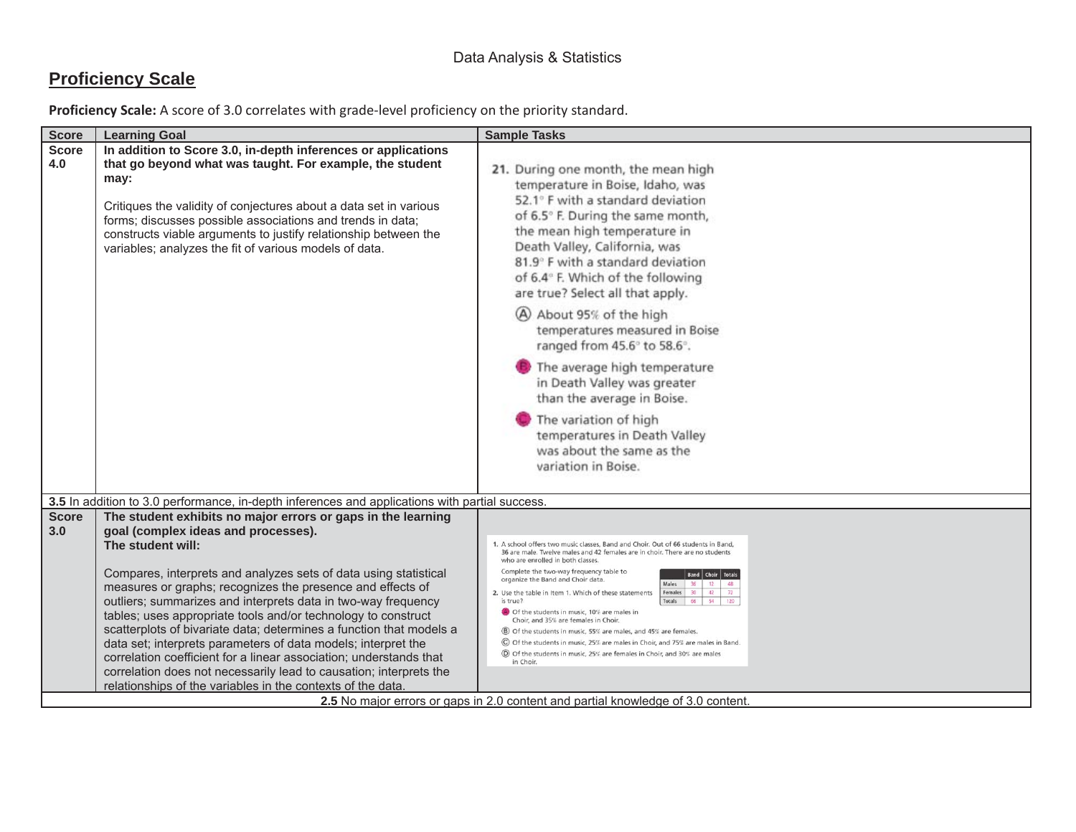## **Proficiency Scale**

| <b>Score</b>        | <b>Learning Goal</b>                                                                                                                                                                                                                                                                                                                                                                                                                                                                                                                                                                                                                                                                                                                            | <b>Sample Tasks</b>                                                                                                                                                                                                                                                                                                                                                                                                                                                                                                                                                                                                                                                                                                                                                                                                                                                                                                                             |
|---------------------|-------------------------------------------------------------------------------------------------------------------------------------------------------------------------------------------------------------------------------------------------------------------------------------------------------------------------------------------------------------------------------------------------------------------------------------------------------------------------------------------------------------------------------------------------------------------------------------------------------------------------------------------------------------------------------------------------------------------------------------------------|-------------------------------------------------------------------------------------------------------------------------------------------------------------------------------------------------------------------------------------------------------------------------------------------------------------------------------------------------------------------------------------------------------------------------------------------------------------------------------------------------------------------------------------------------------------------------------------------------------------------------------------------------------------------------------------------------------------------------------------------------------------------------------------------------------------------------------------------------------------------------------------------------------------------------------------------------|
| <b>Score</b><br>4.0 | In addition to Score 3.0, in-depth inferences or applications<br>that go beyond what was taught. For example, the student<br>may:<br>Critiques the validity of conjectures about a data set in various<br>forms; discusses possible associations and trends in data;<br>constructs viable arguments to justify relationship between the<br>variables; analyzes the fit of various models of data.                                                                                                                                                                                                                                                                                                                                               | 21. During one month, the mean high<br>temperature in Boise, Idaho, was<br>52.1° F with a standard deviation<br>of 6.5° F. During the same month,<br>the mean high temperature in<br>Death Valley, California, was<br>81.9° F with a standard deviation<br>of 6.4° F. Which of the following<br>are true? Select all that apply.<br>A About 95% of the high<br>temperatures measured in Boise<br>ranged from 45.6° to 58.6°.<br>The average high temperature<br>in Death Valley was greater<br>than the average in Boise.<br>The variation of high<br>temperatures in Death Valley<br>was about the same as the<br>variation in Boise.                                                                                                                                                                                                                                                                                                          |
|                     | 3.5 In addition to 3.0 performance, in-depth inferences and applications with partial success.                                                                                                                                                                                                                                                                                                                                                                                                                                                                                                                                                                                                                                                  |                                                                                                                                                                                                                                                                                                                                                                                                                                                                                                                                                                                                                                                                                                                                                                                                                                                                                                                                                 |
| <b>Score</b><br>3.0 | The student exhibits no major errors or gaps in the learning<br>goal (complex ideas and processes).<br>The student will:<br>Compares, interprets and analyzes sets of data using statistical<br>measures or graphs; recognizes the presence and effects of<br>outliers; summarizes and interprets data in two-way frequency<br>tables; uses appropriate tools and/or technology to construct<br>scatterplots of bivariate data; determines a function that models a<br>data set; interprets parameters of data models; interpret the<br>correlation coefficient for a linear association; understands that<br>correlation does not necessarily lead to causation; interprets the<br>relationships of the variables in the contexts of the data. | 1. A school offers two music classes, Band and Choir. Out of 66 students in Band,<br>36 are male. Twelve males and 42 females are in choir. There are no students<br>who are enrolled in both classes.<br>Complete the two-way frequency table to<br><b>Band</b> Choir Totals<br>organize the Band and Choir data.<br>$\begin{array}{ c c c c c c } \hline 36 & 12 \\ \hline \end{array}$<br>Males<br>48<br>72<br>Females 30 42<br>2. Use the table in Item 1. Which of these statements<br>Totals 66 54 120<br>is true?<br>Of the students in music, 10% are males in<br>Choir, and 35% are females in Choir.<br>(B) Of the students in music, 55% are males, and 45% are females<br>C Of the students in music, 25% are males in Choir, and 75% are males in Band.<br>◎ Of the students in music, 25% are females in Choir, and 30% are males<br>in Choir<br>2.5 No major errors or gaps in 2.0 content and partial knowledge of 3.0 content. |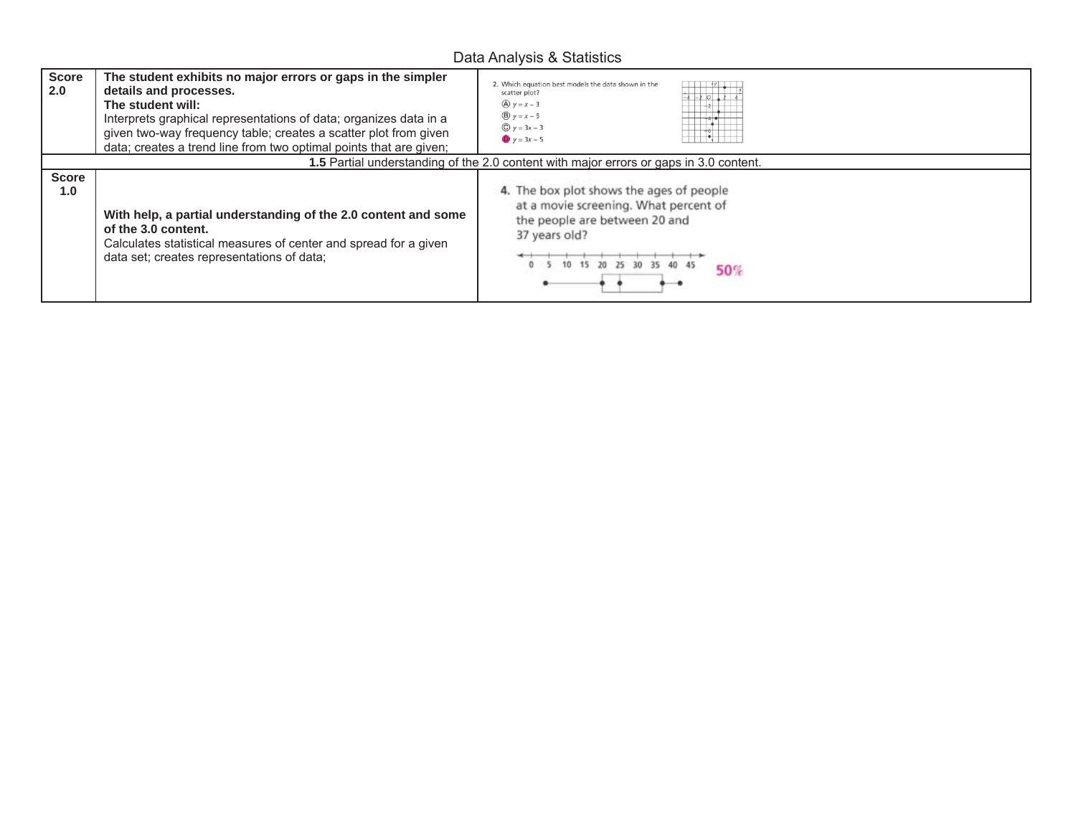## Data Analysis & Statistics

| <b>Score</b><br>2.0 | The student exhibits no major errors or gaps in the simpler<br>details and processes.<br>The student will:<br>Interprets graphical representations of data; organizes data in a<br>given two-way frequency table; creates a scatter plot from given<br>data; creates a trend line from two optimal points that are given; | 2. Which equation best models the data shown in the<br>scatter plot?<br>$-2$ 0 $12$<br>$A \vee y = x - 3$<br>$B_y = x - 5$<br>$Q y = 3x - 3$<br>$y = 3x - 5$          |
|---------------------|---------------------------------------------------------------------------------------------------------------------------------------------------------------------------------------------------------------------------------------------------------------------------------------------------------------------------|-----------------------------------------------------------------------------------------------------------------------------------------------------------------------|
|                     |                                                                                                                                                                                                                                                                                                                           | 1.5 Partial understanding of the 2.0 content with major errors or gaps in 3.0 content.                                                                                |
| <b>Score</b><br>1.0 | With help, a partial understanding of the 2.0 content and some<br>of the 3.0 content.<br>Calculates statistical measures of center and spread for a given<br>data set; creates representations of data;                                                                                                                   | 4. The box plot shows the ages of people<br>at a movie screening. What percent of<br>the people are between 20 and<br>37 years old?<br>10 15 20 25 30 35 40 45<br>50% |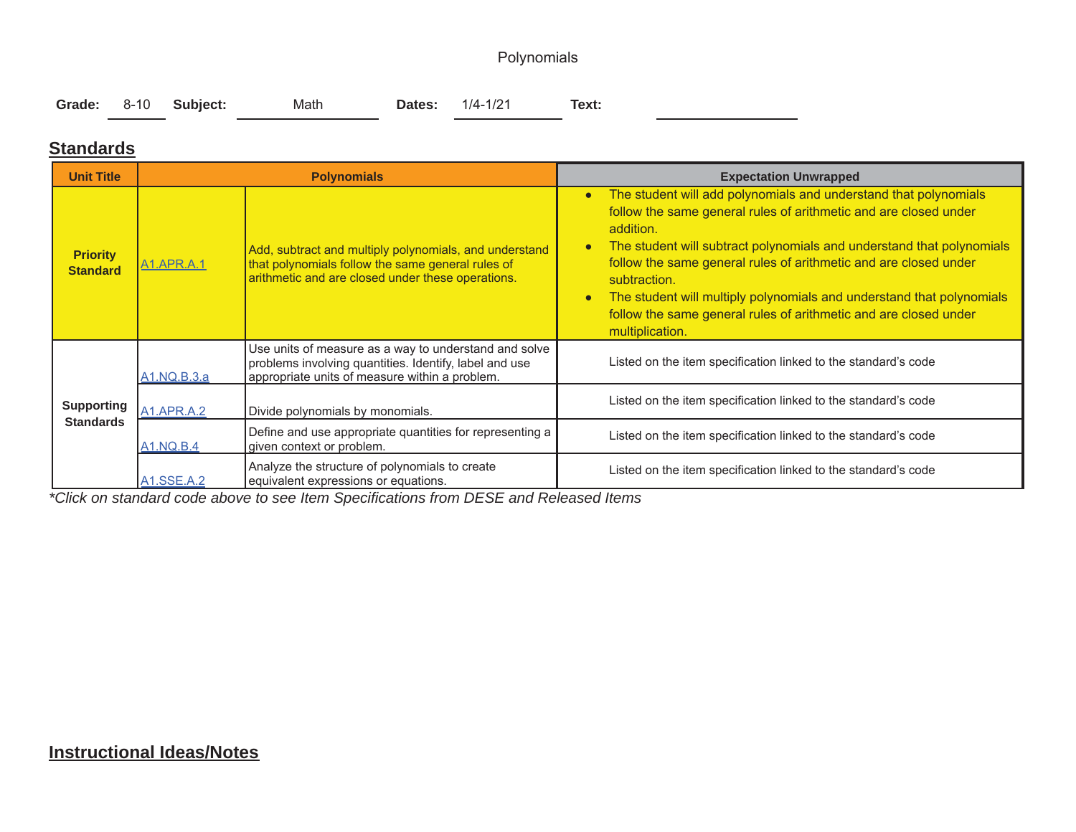## Polynomials

|  |  | Grade: 8-10 Subject: | Math |  | <b>Dates:</b> 1/4-1/21 | Text: |  |
|--|--|----------------------|------|--|------------------------|-------|--|
|--|--|----------------------|------|--|------------------------|-------|--|

### **Standards**

| <b>Unit Title</b>                     |                   | <b>Polynomials</b>                                                                                                                                                | <b>Expectation Unwrapped</b>                                                                                                                                                                                                                                                                                                                                                                                                                                                                                          |  |  |
|---------------------------------------|-------------------|-------------------------------------------------------------------------------------------------------------------------------------------------------------------|-----------------------------------------------------------------------------------------------------------------------------------------------------------------------------------------------------------------------------------------------------------------------------------------------------------------------------------------------------------------------------------------------------------------------------------------------------------------------------------------------------------------------|--|--|
| <b>Priority</b><br><b>Standard</b>    | <u>A1.APR.A.1</u> | Add, subtract and multiply polynomials, and understand<br>that polynomials follow the same general rules of<br>arithmetic and are closed under these operations.  | The student will add polynomials and understand that polynomials<br>$\bullet$<br>follow the same general rules of arithmetic and are closed under<br>addition.<br>The student will subtract polynomials and understand that polynomials<br>$\bullet$<br>follow the same general rules of arithmetic and are closed under<br>subtraction.<br>The student will multiply polynomials and understand that polynomials<br>$\bullet$<br>follow the same general rules of arithmetic and are closed under<br>multiplication. |  |  |
|                                       | A1.NQ.B.3.a       | Use units of measure as a way to understand and solve<br>problems involving quantities. Identify, label and use<br>appropriate units of measure within a problem. | Listed on the item specification linked to the standard's code                                                                                                                                                                                                                                                                                                                                                                                                                                                        |  |  |
| <b>Supporting</b><br><b>Standards</b> | <b>A1.APR.A.2</b> | Divide polynomials by monomials.                                                                                                                                  | Listed on the item specification linked to the standard's code                                                                                                                                                                                                                                                                                                                                                                                                                                                        |  |  |
|                                       | <b>A1.NQ.B.4</b>  | Define and use appropriate quantities for representing a<br>given context or problem.                                                                             | Listed on the item specification linked to the standard's code                                                                                                                                                                                                                                                                                                                                                                                                                                                        |  |  |
|                                       | A1.SSE.A.2        | Analyze the structure of polynomials to create<br>equivalent expressions or equations.                                                                            | Listed on the item specification linked to the standard's code                                                                                                                                                                                                                                                                                                                                                                                                                                                        |  |  |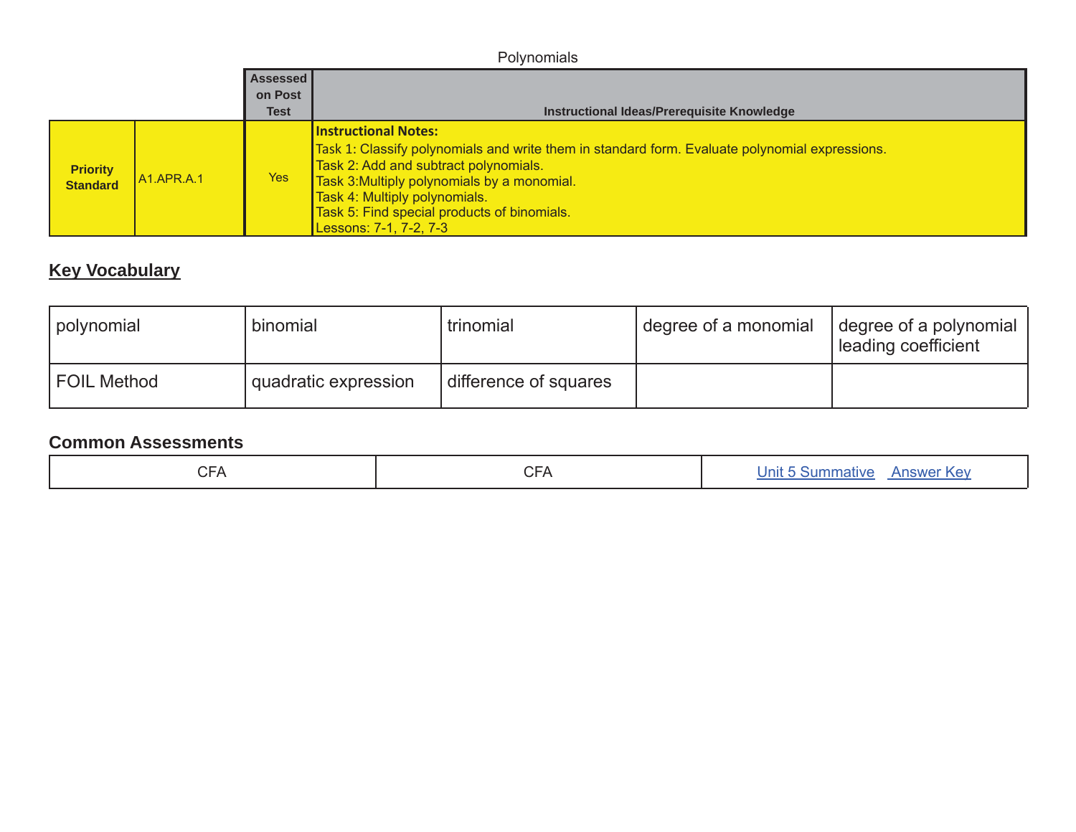|                                    | Polynomials   |             |                                                                                                                                                                                                                                                                                                                                 |  |  |
|------------------------------------|---------------|-------------|---------------------------------------------------------------------------------------------------------------------------------------------------------------------------------------------------------------------------------------------------------------------------------------------------------------------------------|--|--|
| Assessed                           |               |             |                                                                                                                                                                                                                                                                                                                                 |  |  |
|                                    |               | on Post     |                                                                                                                                                                                                                                                                                                                                 |  |  |
|                                    |               | <b>Test</b> | Instructional Ideas/Prerequisite Knowledge                                                                                                                                                                                                                                                                                      |  |  |
| <b>Priority</b><br><b>Standard</b> | $AA$ .APR.A.1 | Yes         | <b>Instructional Notes:</b><br>Task 1: Classify polynomials and write them in standard form. Evaluate polynomial expressions.<br>Task 2: Add and subtract polynomials.<br>Task 3: Multiply polynomials by a monomial.<br>Task 4: Multiply polynomials.<br>Task 5: Find special products of binomials.<br>Lessons: 7-1, 7-2, 7-3 |  |  |

# **Key Vocabulary**

| I polynomial       | binomial               | trinomial             | degree of a monomial | degree of a polynomial<br>leading coefficient |
|--------------------|------------------------|-----------------------|----------------------|-----------------------------------------------|
| <b>FOIL Method</b> | ' quadratic expression | difference of squares |                      |                                               |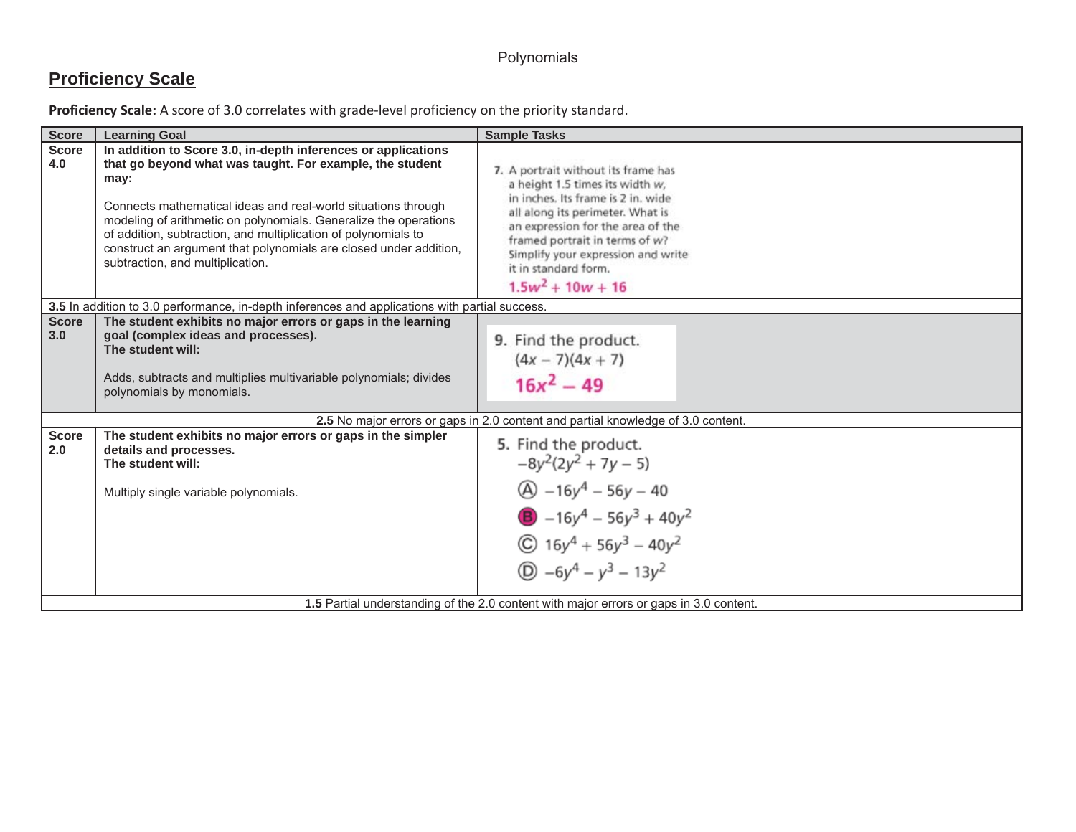## Polynomials

# **Proficiency Scale**

| Proficiency Scale: A score of 3.0 correlates with grade-level proficiency on the priority standard. |  |  |  |
|-----------------------------------------------------------------------------------------------------|--|--|--|
|-----------------------------------------------------------------------------------------------------|--|--|--|

| <b>Score</b>        | <b>Learning Goal</b>                                                                                                                                                                                                                                                                                                                                                                                                                              | <b>Sample Tasks</b>                                                                                                                                                                                                                                                                                          |  |  |  |
|---------------------|---------------------------------------------------------------------------------------------------------------------------------------------------------------------------------------------------------------------------------------------------------------------------------------------------------------------------------------------------------------------------------------------------------------------------------------------------|--------------------------------------------------------------------------------------------------------------------------------------------------------------------------------------------------------------------------------------------------------------------------------------------------------------|--|--|--|
| <b>Score</b><br>4.0 | In addition to Score 3.0, in-depth inferences or applications<br>that go beyond what was taught. For example, the student<br>may:<br>Connects mathematical ideas and real-world situations through<br>modeling of arithmetic on polynomials. Generalize the operations<br>of addition, subtraction, and multiplication of polynomials to<br>construct an argument that polynomials are closed under addition,<br>subtraction, and multiplication. | 7. A portrait without its frame has<br>a height 1.5 times its width w,<br>in inches. Its frame is 2 in, wide<br>all along its perimeter. What is<br>an expression for the area of the<br>framed portrait in terms of w?<br>Simplify your expression and write<br>it in standard form.<br>$1.5w^2 + 10w + 16$ |  |  |  |
|                     | 3.5 In addition to 3.0 performance, in-depth inferences and applications with partial success.                                                                                                                                                                                                                                                                                                                                                    |                                                                                                                                                                                                                                                                                                              |  |  |  |
| <b>Score</b><br>3.0 | The student exhibits no major errors or gaps in the learning<br>goal (complex ideas and processes).<br>The student will:<br>Adds, subtracts and multiplies multivariable polynomials; divides<br>polynomials by monomials.                                                                                                                                                                                                                        | 9. Find the product.<br>$(4x - 7)(4x + 7)$<br>$16x^2 - 49$                                                                                                                                                                                                                                                   |  |  |  |
|                     |                                                                                                                                                                                                                                                                                                                                                                                                                                                   | 2.5 No major errors or gaps in 2.0 content and partial knowledge of 3.0 content.                                                                                                                                                                                                                             |  |  |  |
| <b>Score</b><br>2.0 | The student exhibits no major errors or gaps in the simpler<br>details and processes.<br>The student will:<br>Multiply single variable polynomials.                                                                                                                                                                                                                                                                                               | 5. Find the product.<br>$-8y^2(2y^2 + 7y - 5)$<br>$\textcircled{A}$ -16y <sup>4</sup> - 56y - 40<br><b>B</b> $-16y^4 - 56y^3 + 40y^2$<br>$\textcircled{c}$ 16y <sup>4</sup> + 56y <sup>3</sup> – 40y <sup>2</sup><br>$(D) -6y^4 - y^3 - 13y^2$                                                               |  |  |  |
|                     | 1.5 Partial understanding of the 2.0 content with major errors or gaps in 3.0 content.                                                                                                                                                                                                                                                                                                                                                            |                                                                                                                                                                                                                                                                                                              |  |  |  |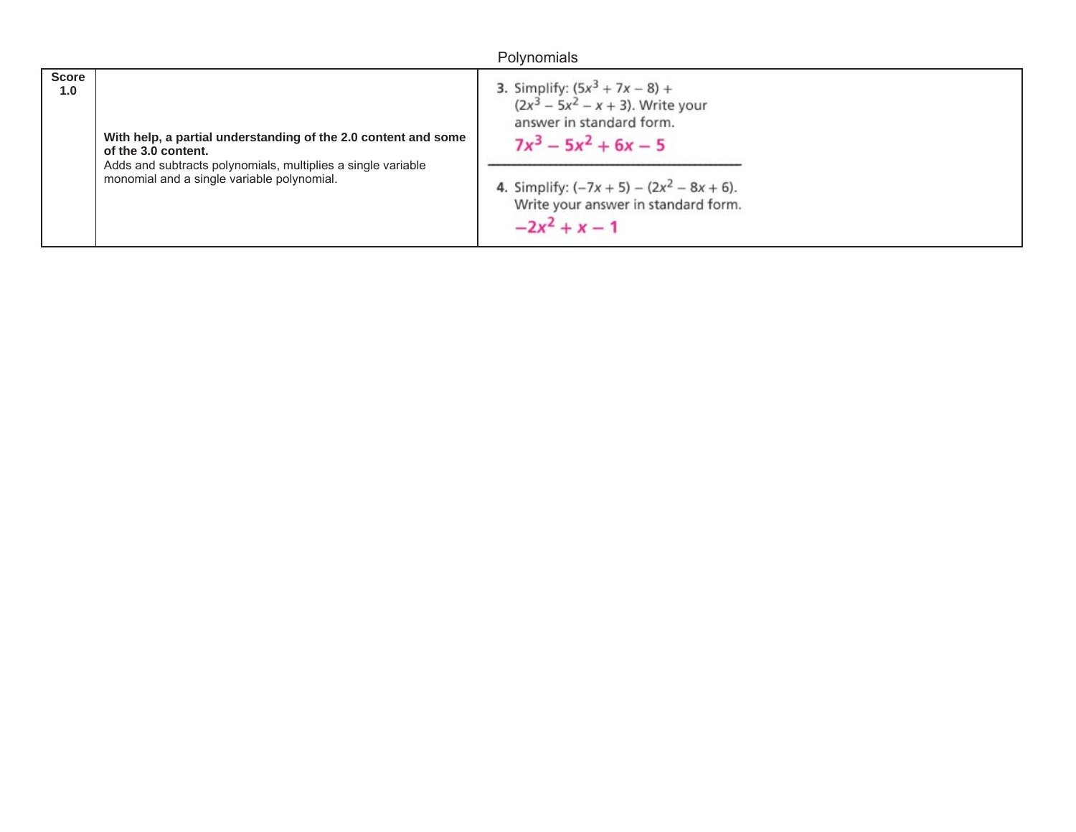## Polynomials

| <b>Score</b>                                                   | 3. Simplify: $(5x^3 + 7x - 8) +$<br>$(2x^3 - 5x^2 - x + 3)$ . Write your |
|----------------------------------------------------------------|--------------------------------------------------------------------------|
| 1.0                                                            | answer in standard form.                                                 |
| With help, a partial understanding of the 2.0 content and some | $7x^3 - 5x^2 + 6x - 5$                                                   |
| of the 3.0 content.                                            | 4. Simplify: $(-7x + 5) - (2x^2 - 8x + 6)$ .                             |
| Adds and subtracts polynomials, multiplies a single variable   | Write your answer in standard form.                                      |
| monomial and a single variable polynomial.                     | $-2x^2 + x - 1$                                                          |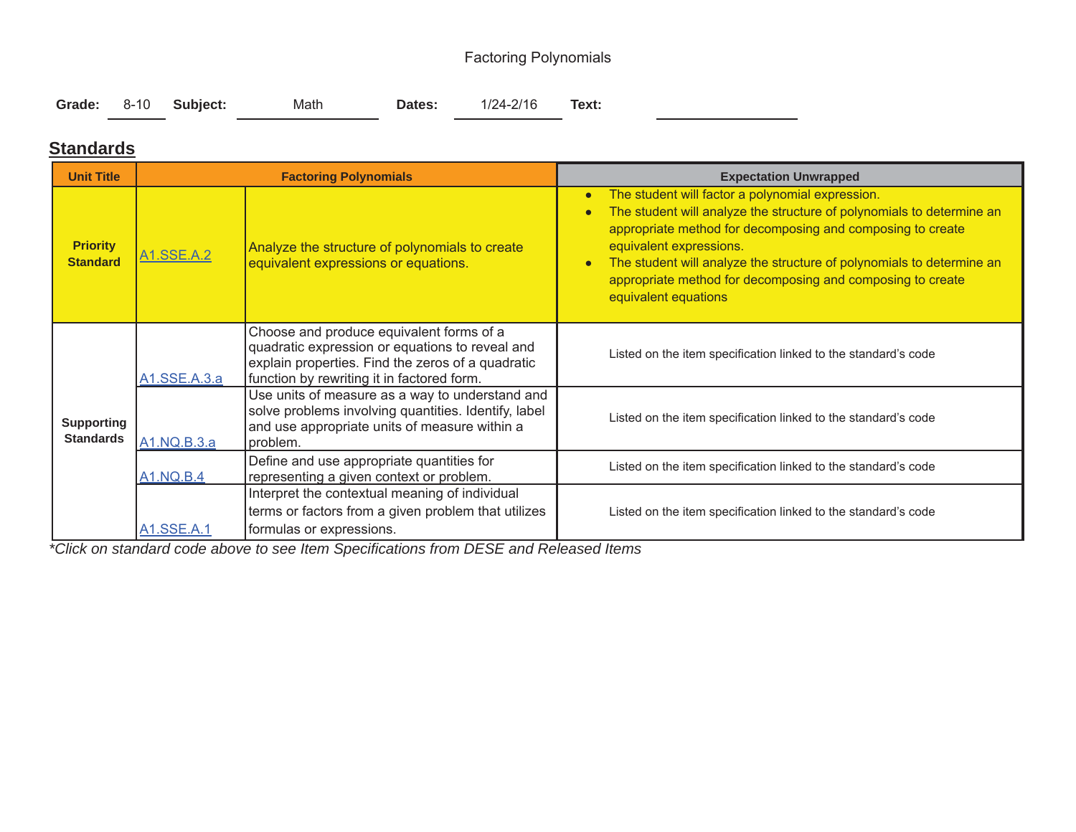## Factoring Polynomials

|  | Grade: 8-10 Subject: | Math | Dates: | 1/24-2/16 | Text: |
|--|----------------------|------|--------|-----------|-------|
|  |                      |      |        |           |       |

### **Standards**

| <b>Unit Title</b>                     |                         | <b>Factoring Polynomials</b>                                                                                                                                                                   | <b>Expectation Unwrapped</b>                                                                                                                                                                                                                                                                                                                                                                                             |  |  |
|---------------------------------------|-------------------------|------------------------------------------------------------------------------------------------------------------------------------------------------------------------------------------------|--------------------------------------------------------------------------------------------------------------------------------------------------------------------------------------------------------------------------------------------------------------------------------------------------------------------------------------------------------------------------------------------------------------------------|--|--|
| <b>Priority</b><br><b>Standard</b>    | A <sub>1.</sub> SSE.A.2 | Analyze the structure of polynomials to create<br>equivalent expressions or equations.                                                                                                         | The student will factor a polynomial expression.<br>$\bullet$<br>The student will analyze the structure of polynomials to determine an<br>$\bullet$<br>appropriate method for decomposing and composing to create<br>equivalent expressions.<br>The student will analyze the structure of polynomials to determine an<br>$\bullet$<br>appropriate method for decomposing and composing to create<br>equivalent equations |  |  |
|                                       | A1.SSE.A.3.a            | Choose and produce equivalent forms of a<br>quadratic expression or equations to reveal and<br>explain properties. Find the zeros of a quadratic<br>function by rewriting it in factored form. | Listed on the item specification linked to the standard's code                                                                                                                                                                                                                                                                                                                                                           |  |  |
| <b>Supporting</b><br><b>Standards</b> | A1.NQ.B.3.a             | Use units of measure as a way to understand and<br>solve problems involving quantities. Identify, label<br>and use appropriate units of measure within a<br>problem.                           | Listed on the item specification linked to the standard's code                                                                                                                                                                                                                                                                                                                                                           |  |  |
|                                       | <b>A1.NQ.B.4</b>        | Define and use appropriate quantities for<br>representing a given context or problem.                                                                                                          | Listed on the item specification linked to the standard's code                                                                                                                                                                                                                                                                                                                                                           |  |  |
|                                       | A1.SSE.A.1              | Interpret the contextual meaning of individual<br>terms or factors from a given problem that utilizes<br>formulas or expressions.                                                              | Listed on the item specification linked to the standard's code                                                                                                                                                                                                                                                                                                                                                           |  |  |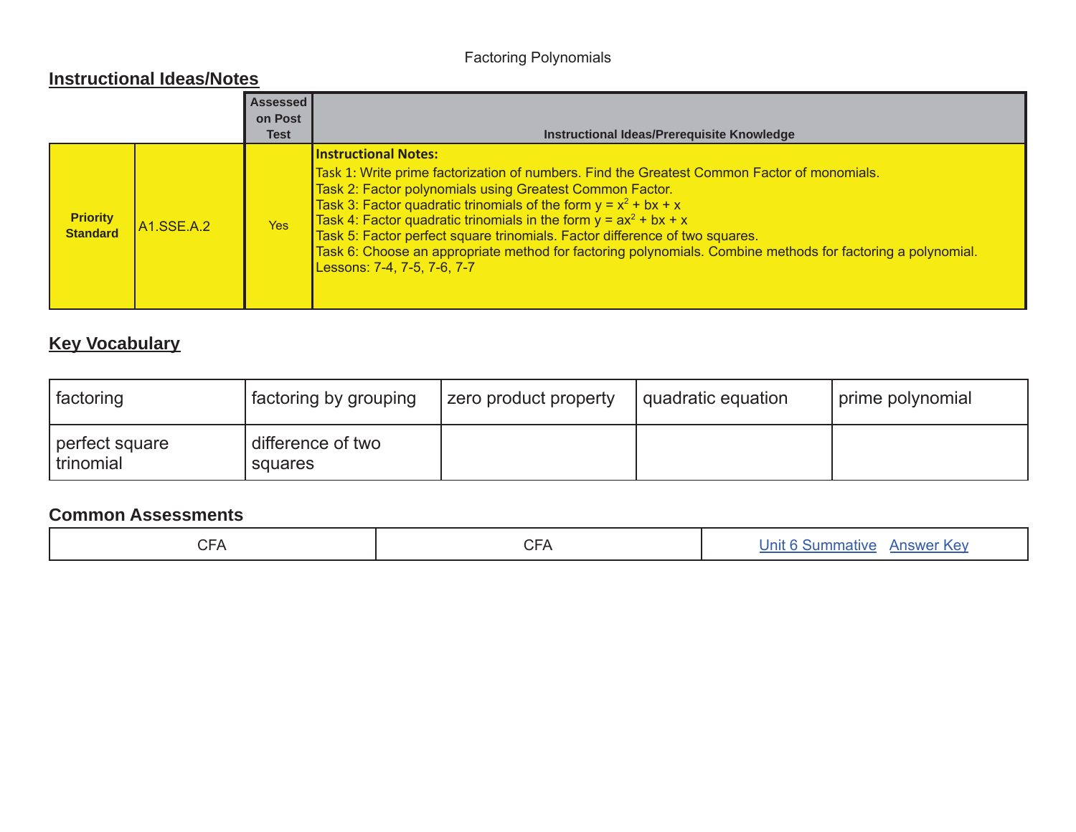## Factoring Polynomials

### **Instructional Ideas/Notes**

|                                    |                         | Assessed<br>on Post<br><b>Test</b> | Instructional Ideas/Prerequisite Knowledge                                                                                                                                                                                                                                                                                                                                                                                                                                                                                                                       |
|------------------------------------|-------------------------|------------------------------------|------------------------------------------------------------------------------------------------------------------------------------------------------------------------------------------------------------------------------------------------------------------------------------------------------------------------------------------------------------------------------------------------------------------------------------------------------------------------------------------------------------------------------------------------------------------|
| <b>Priority</b><br><b>Standard</b> | A <sub>1.</sub> SSE.A.2 | <b>Yes</b>                         | <b>Instructional Notes:</b><br>Task 1: Write prime factorization of numbers. Find the Greatest Common Factor of monomials.<br>Task 2: Factor polynomials using Greatest Common Factor.<br>Task 3: Factor quadratic trinomials of the form $y = x^2 + bx + x$<br>Task 4: Factor quadratic trinomials in the form $y = ax^2 + bx + x$<br>Task 5: Factor perfect square trinomials. Factor difference of two squares.<br>Task 6: Choose an appropriate method for factoring polynomials. Combine methods for factoring a polynomial.<br>Lessons: 7-4, 7-5, 7-6, 7-7 |

## **Key Vocabulary**

| factoring                     | factoring by grouping            | <b>zero product property</b> | quadratic equation_ | I prime polynomial |
|-------------------------------|----------------------------------|------------------------------|---------------------|--------------------|
| perfect square<br>  trinomial | I difference of two<br>squares ' |                              |                     |                    |

| ∩⊏∧<br>ה וט | ⌒冖៱<br>$\vdash$ $\mathcal{L}$<br>$\cup$ $\cap$ | Unit 6 Summative Answer Key |
|-------------|------------------------------------------------|-----------------------------|
|-------------|------------------------------------------------|-----------------------------|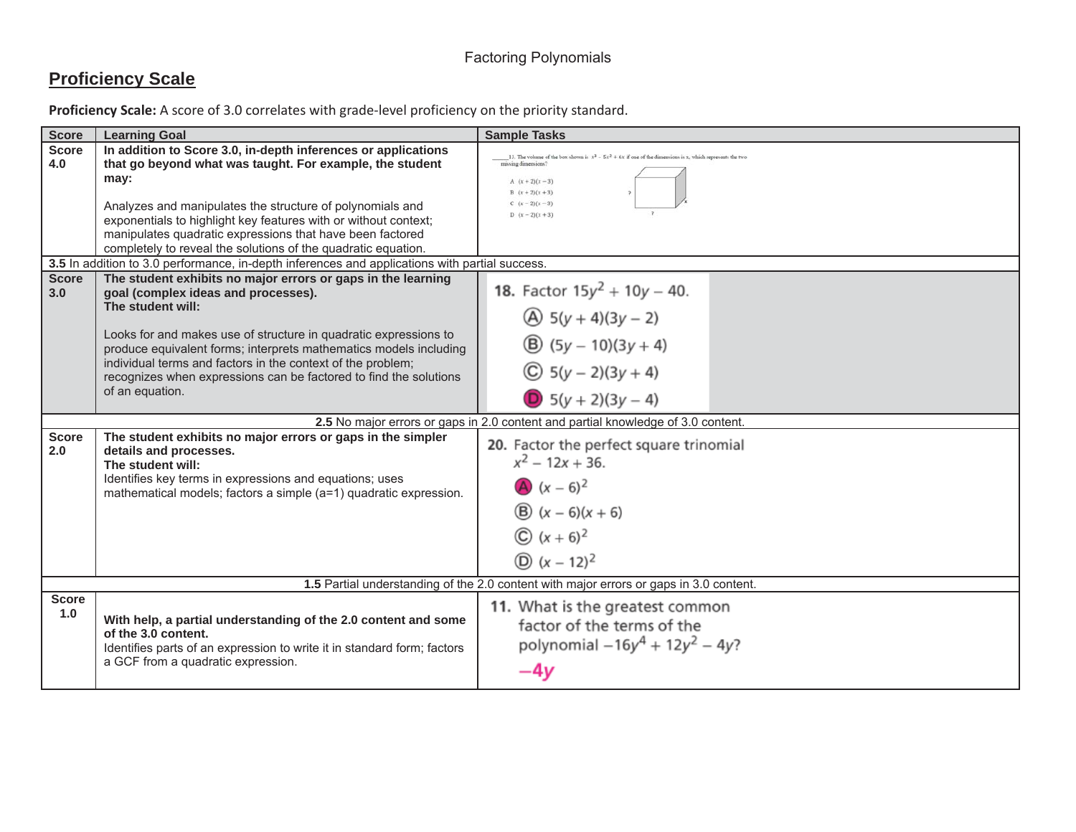## **Proficiency Scale**

| <b>Score</b>        | <b>Learning Goal</b>                                                                                                                                                                                                                                                                                                                                                                                                                                                                                                       | <b>Sample Tasks</b>                                                                                                                                                                                                        |
|---------------------|----------------------------------------------------------------------------------------------------------------------------------------------------------------------------------------------------------------------------------------------------------------------------------------------------------------------------------------------------------------------------------------------------------------------------------------------------------------------------------------------------------------------------|----------------------------------------------------------------------------------------------------------------------------------------------------------------------------------------------------------------------------|
| <b>Score</b><br>4.0 | In addition to Score 3.0, in-depth inferences or applications<br>that go beyond what was taught. For example, the student<br>may:<br>Analyzes and manipulates the structure of polynomials and<br>exponentials to highlight key features with or without context;<br>manipulates quadratic expressions that have been factored                                                                                                                                                                                             | 13. The volume of the box shown is $x^3 - 5x^2 + 6x$ if one of the dimensions is x, which represents the two<br>missing dimensions?<br>A $(x + 2)(x - 3)$<br>$B(x+2)(x+3)$<br>$C(x-2)(x-3)$<br>$D (x-2)(x+3)$              |
|                     | completely to reveal the solutions of the quadratic equation.                                                                                                                                                                                                                                                                                                                                                                                                                                                              |                                                                                                                                                                                                                            |
| <b>Score</b><br>3.0 | 3.5 In addition to 3.0 performance, in-depth inferences and applications with partial success.<br>The student exhibits no major errors or gaps in the learning<br>goal (complex ideas and processes).<br>The student will:<br>Looks for and makes use of structure in quadratic expressions to<br>produce equivalent forms; interprets mathematics models including<br>individual terms and factors in the context of the problem;<br>recognizes when expressions can be factored to find the solutions<br>of an equation. | <b>18.</b> Factor $15y^2 + 10y - 40$ .<br>$\textcircled{4}$ 5(y + 4)(3y – 2)<br>$\textcircled{B}$ (5y – 10)(3y + 4)<br>$\circled{C}$ 5(y – 2)(3y + 4)<br>$\bullet$ 5(y + 2)(3y - 4)                                        |
|                     |                                                                                                                                                                                                                                                                                                                                                                                                                                                                                                                            |                                                                                                                                                                                                                            |
| <b>Score</b><br>2.0 | The student exhibits no major errors or gaps in the simpler<br>details and processes.<br>The student will:<br>Identifies key terms in expressions and equations; uses<br>mathematical models; factors a simple (a=1) quadratic expression.                                                                                                                                                                                                                                                                                 | 2.5 No major errors or gaps in 2.0 content and partial knowledge of 3.0 content.<br>20. Factor the perfect square trinomial<br>$x^2$ – 12x + 36.<br>A $(x - 6)^2$<br>(B) $(x - 6)(x + 6)$<br>$(x+6)^2$<br>(D) $(x - 12)^2$ |
| <b>Score</b><br>1.0 | With help, a partial understanding of the 2.0 content and some<br>of the 3.0 content.<br>Identifies parts of an expression to write it in standard form; factors<br>a GCF from a quadratic expression.                                                                                                                                                                                                                                                                                                                     | 1.5 Partial understanding of the 2.0 content with major errors or gaps in 3.0 content.<br>11. What is the greatest common<br>factor of the terms of the<br>polynomial $-16y^4 + 12y^2 - 4y$ ?<br>$-4y$                     |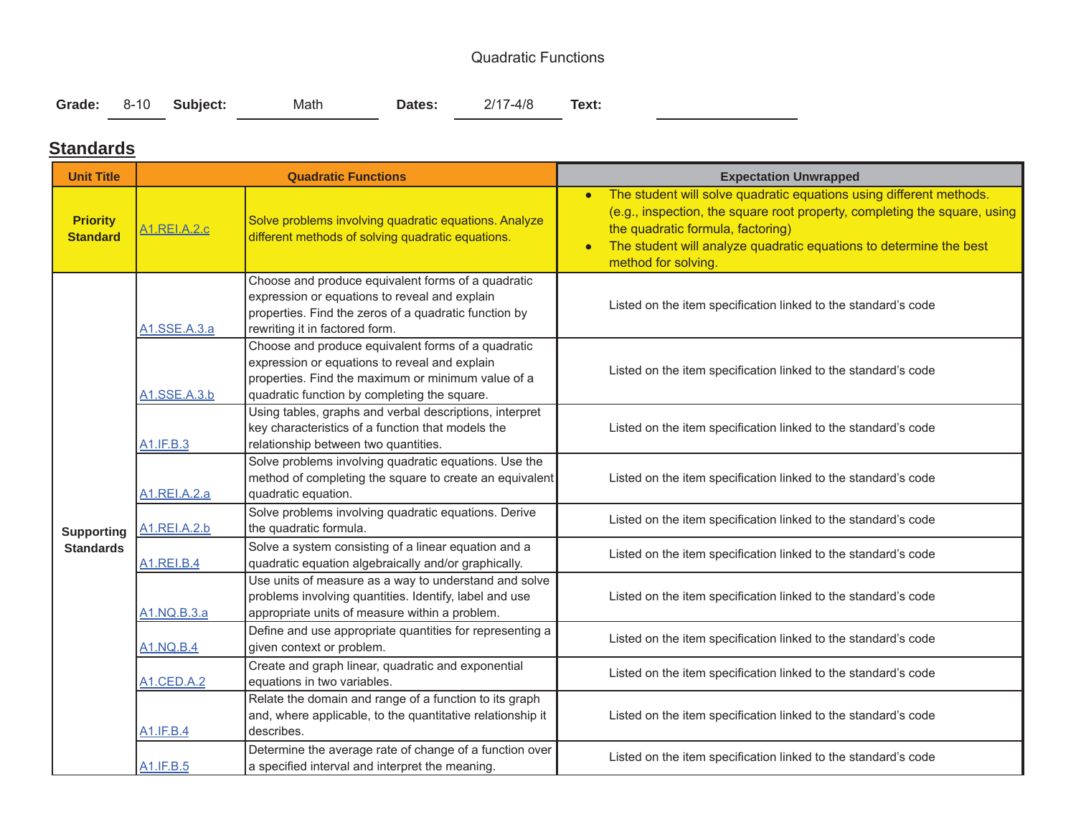### Quadratic Functions

|  |  | Grade: 8-10 Subject: |  | Math | <b>Dates:</b> | 2/17-4/8 | Text: |
|--|--|----------------------|--|------|---------------|----------|-------|
|--|--|----------------------|--|------|---------------|----------|-------|

 $\overline{\phantom{a}}$ 

### **Standards**

÷.

| <b>Unit Title</b>                  |                     | <b>Quadratic Functions</b>                                                                                                                                                                                | <b>Expectation Unwrapped</b>                                                                                                                                                                                                                                                                    |
|------------------------------------|---------------------|-----------------------------------------------------------------------------------------------------------------------------------------------------------------------------------------------------------|-------------------------------------------------------------------------------------------------------------------------------------------------------------------------------------------------------------------------------------------------------------------------------------------------|
| <b>Priority</b><br><b>Standard</b> | <b>A1.REI.A.2.c</b> | Solve problems involving quadratic equations. Analyze<br>different methods of solving quadratic equations.                                                                                                | The student will solve quadratic equations using different methods.<br>$\bullet$<br>(e.g., inspection, the square root property, completing the square, using<br>the quadratic formula, factoring)<br>The student will analyze quadratic equations to determine the best<br>method for solving. |
|                                    | A1.SSE.A.3.a        | Choose and produce equivalent forms of a quadratic<br>expression or equations to reveal and explain<br>properties. Find the zeros of a quadratic function by<br>rewriting it in factored form.            | Listed on the item specification linked to the standard's code                                                                                                                                                                                                                                  |
|                                    | A1.SSE.A.3.b        | Choose and produce equivalent forms of a quadratic<br>expression or equations to reveal and explain<br>properties. Find the maximum or minimum value of a<br>quadratic function by completing the square. | Listed on the item specification linked to the standard's code                                                                                                                                                                                                                                  |
|                                    | A1.IF.B.3           | Using tables, graphs and verbal descriptions, interpret<br>key characteristics of a function that models the<br>relationship between two quantities.                                                      | Listed on the item specification linked to the standard's code                                                                                                                                                                                                                                  |
|                                    | A1.REI.A.2.a        | Solve problems involving quadratic equations. Use the<br>method of completing the square to create an equivalent<br>quadratic equation.                                                                   | Listed on the item specification linked to the standard's code                                                                                                                                                                                                                                  |
| <b>Supporting</b>                  | A1.REI.A.2.b        | Solve problems involving quadratic equations. Derive<br>the quadratic formula.                                                                                                                            | Listed on the item specification linked to the standard's code                                                                                                                                                                                                                                  |
| <b>Standards</b>                   | <b>A1.REI.B.4</b>   | Solve a system consisting of a linear equation and a<br>quadratic equation algebraically and/or graphically.                                                                                              | Listed on the item specification linked to the standard's code                                                                                                                                                                                                                                  |
|                                    | A1.NQ.B.3.a         | Use units of measure as a way to understand and solve<br>problems involving quantities. Identify, label and use<br>appropriate units of measure within a problem.                                         | Listed on the item specification linked to the standard's code                                                                                                                                                                                                                                  |
|                                    | <b>A1.NQ.B.4</b>    | Define and use appropriate quantities for representing a<br>given context or problem.                                                                                                                     | Listed on the item specification linked to the standard's code                                                                                                                                                                                                                                  |
|                                    | <b>A1.CED.A.2</b>   | Create and graph linear, quadratic and exponential<br>equations in two variables.                                                                                                                         | Listed on the item specification linked to the standard's code                                                                                                                                                                                                                                  |
|                                    | <b>A1.IF.B.4</b>    | Relate the domain and range of a function to its graph<br>and, where applicable, to the quantitative relationship it<br>describes.                                                                        | Listed on the item specification linked to the standard's code                                                                                                                                                                                                                                  |
|                                    | A1.IF.B.5           | Determine the average rate of change of a function over<br>a specified interval and interpret the meaning.                                                                                                | Listed on the item specification linked to the standard's code                                                                                                                                                                                                                                  |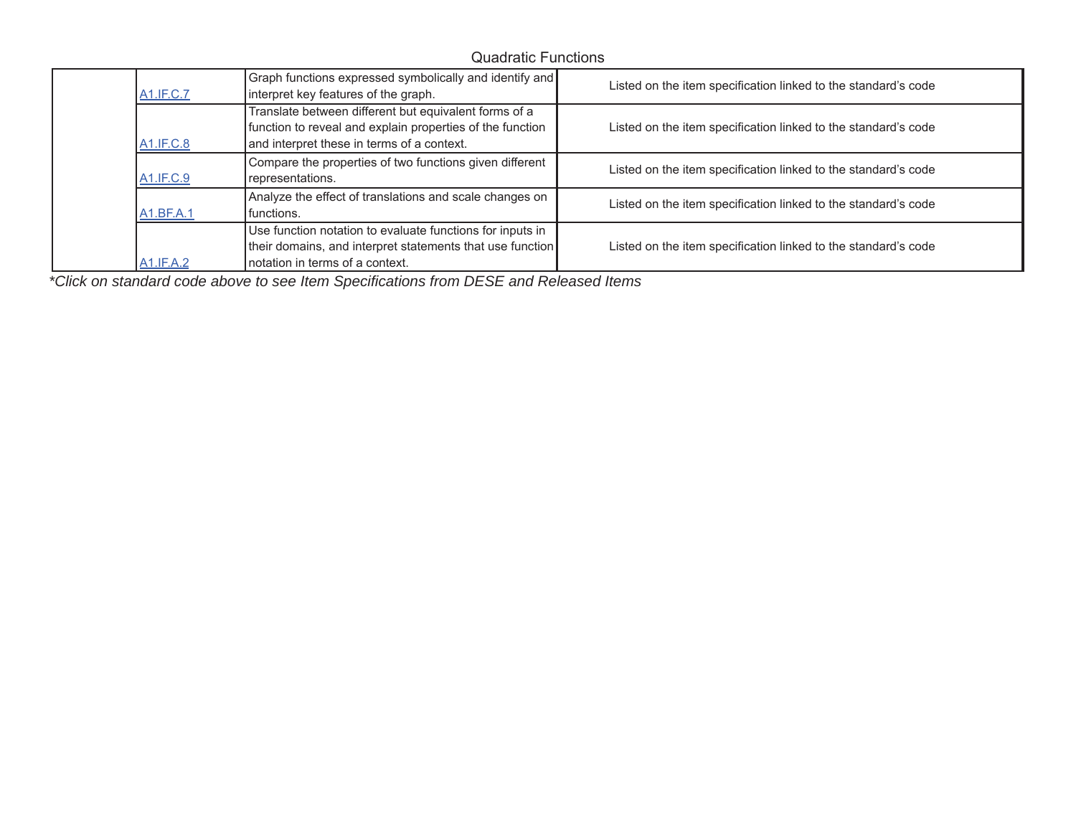### Quadratic Functions

| <b>A1.IF.C.7</b> | Graph functions expressed symbolically and identify and<br>interpret key features of the graph.                                                                  | Listed on the item specification linked to the standard's code |
|------------------|------------------------------------------------------------------------------------------------------------------------------------------------------------------|----------------------------------------------------------------|
| <b>A1.IF.C.8</b> | Translate between different but equivalent forms of a<br>function to reveal and explain properties of the function<br>and interpret these in terms of a context. | Listed on the item specification linked to the standard's code |
| A1.IF.C.9        | Compare the properties of two functions given different<br>representations.                                                                                      | Listed on the item specification linked to the standard's code |
| A1.BF.A.1        | Analyze the effect of translations and scale changes on<br>I functions.                                                                                          | Listed on the item specification linked to the standard's code |
| A1.IF.A.2        | Use function notation to evaluate functions for inputs in<br>their domains, and interpret statements that use function<br>notation in terms of a context.        | Listed on the item specification linked to the standard's code |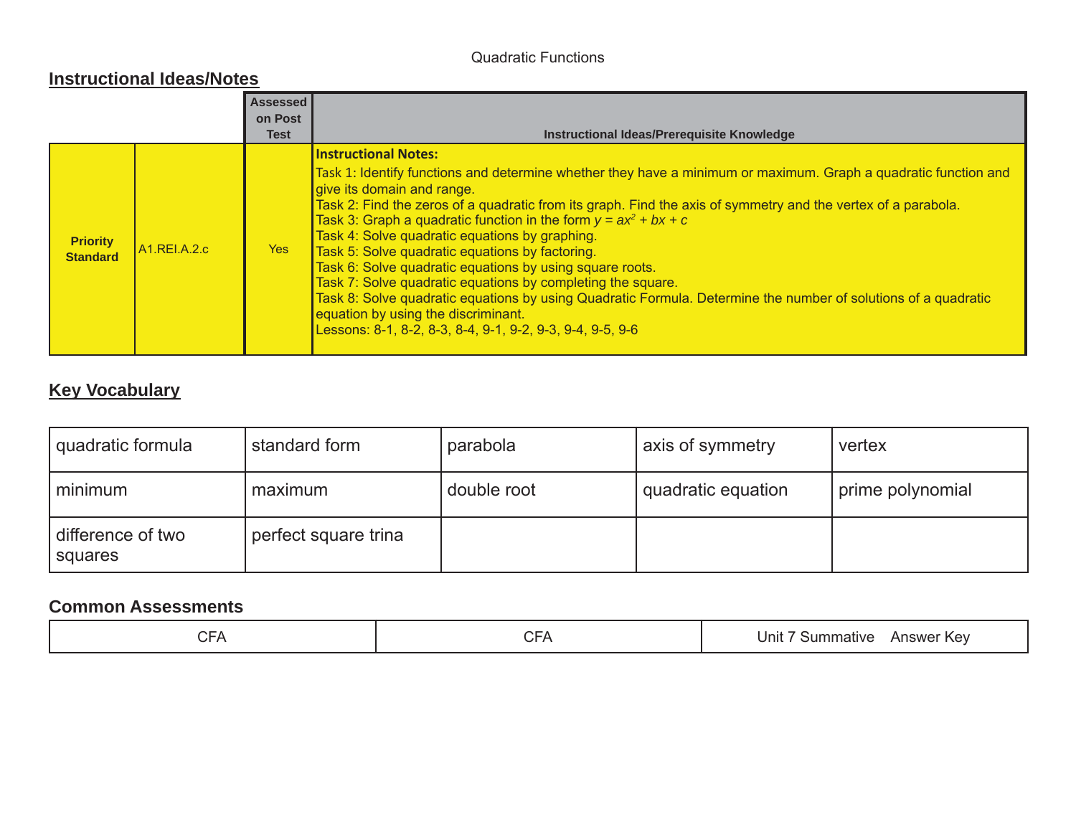### Quadratic Functions

#### **Instructional Ideas/Notes**

|                                    |                           | <b>Assessed</b><br>on Post<br><b>Test</b> | Instructional Ideas/Prerequisite Knowledge                                                                                                                                                                                                                                                                                                                                                                                                                                                                                                                                                                                                                                                                                                                                                                                |
|------------------------------------|---------------------------|-------------------------------------------|---------------------------------------------------------------------------------------------------------------------------------------------------------------------------------------------------------------------------------------------------------------------------------------------------------------------------------------------------------------------------------------------------------------------------------------------------------------------------------------------------------------------------------------------------------------------------------------------------------------------------------------------------------------------------------------------------------------------------------------------------------------------------------------------------------------------------|
| <b>Priority</b><br><b>Standard</b> | A <sub>1</sub> .REI.A.2.c | Yes                                       | <b>Instructional Notes:</b><br>Task 1: Identify functions and determine whether they have a minimum or maximum. Graph a quadratic function and<br>give its domain and range.<br>Task 2: Find the zeros of a quadratic from its graph. Find the axis of symmetry and the vertex of a parabola.<br>Task 3: Graph a quadratic function in the form $y = ax^2 + bx + c$<br>Task 4: Solve quadratic equations by graphing.<br>Task 5: Solve quadratic equations by factoring.<br>Task 6: Solve quadratic equations by using square roots.<br>Task 7: Solve quadratic equations by completing the square.<br>Task 8: Solve quadratic equations by using Quadratic Formula. Determine the number of solutions of a quadratic<br>equation by using the discriminant.<br>Lessons: 8-1, 8-2, 8-3, 8-4, 9-1, 9-2, 9-3, 9-4, 9-5, 9-6 |

## **Key Vocabulary**

| quadratic formula            | standard form        | parabola    | axis of symmetry   | vertex           |
|------------------------------|----------------------|-------------|--------------------|------------------|
| minimum                      | maximum              | double root | quadratic equation | prime polynomial |
| difference of two<br>squares | perfect square trina |             |                    |                  |

| $\cap$<br>$\sim$ $\sim$<br>⊢△<br>◡<br>$\sim$ $\sim$ $\sim$ $\sim$<br>. . | Unit<br>nmative<br>Kev<br>5Um<br>Answe. |
|--------------------------------------------------------------------------|-----------------------------------------|
|--------------------------------------------------------------------------|-----------------------------------------|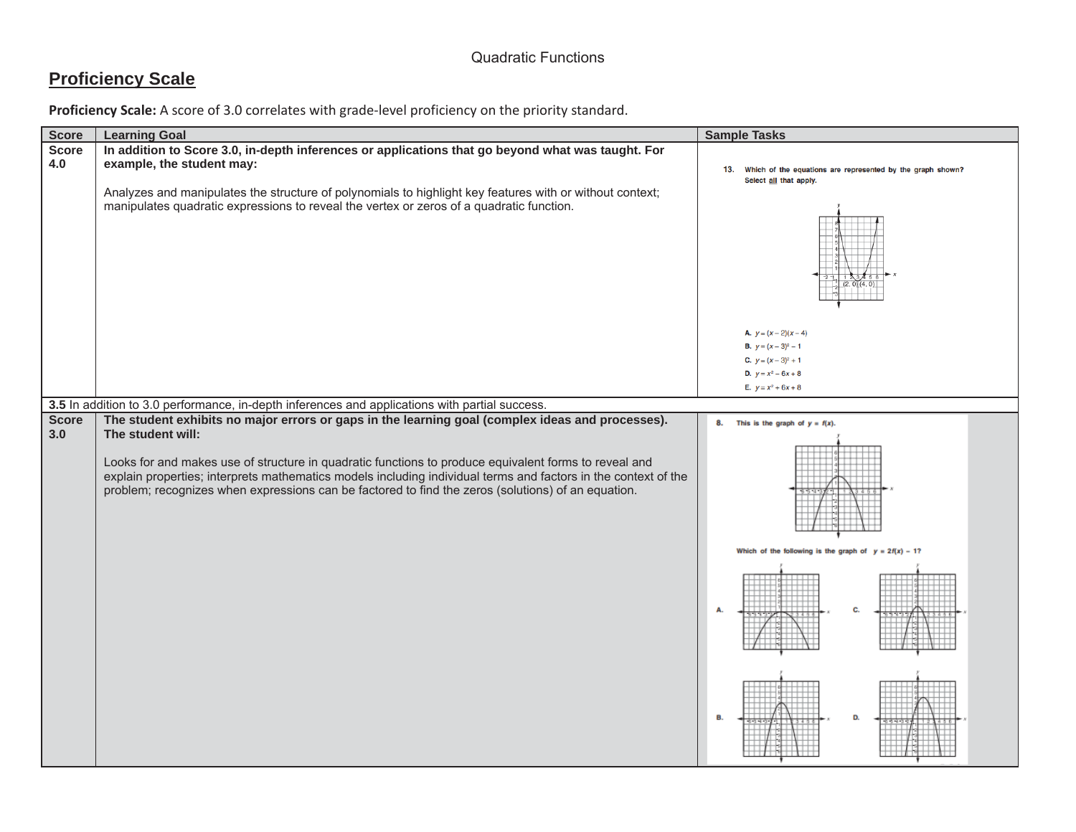## **Proficiency Scale**

| <b>Score</b>        | <b>Learning Goal</b>                                                                                                                                                                                                                                                                                                                                                                                                                                   | <b>Sample Tasks</b>                                                                                                                                       |
|---------------------|--------------------------------------------------------------------------------------------------------------------------------------------------------------------------------------------------------------------------------------------------------------------------------------------------------------------------------------------------------------------------------------------------------------------------------------------------------|-----------------------------------------------------------------------------------------------------------------------------------------------------------|
| <b>Score</b><br>4.0 | In addition to Score 3.0, in-depth inferences or applications that go beyond what was taught. For<br>example, the student may:<br>Analyzes and manipulates the structure of polynomials to highlight key features with or without context;<br>manipulates quadratic expressions to reveal the vertex or zeros of a quadratic function.                                                                                                                 | 13. Which of the equations are represented by the graph shown?<br>Select all that apply.                                                                  |
|                     |                                                                                                                                                                                                                                                                                                                                                                                                                                                        | <b>A.</b> $y = (x - 2)(x - 4)$<br><b>B.</b> $y = (x - 3)^2 - 1$<br><b>C.</b> $y = (x - 3)^2 + 1$<br><b>D.</b> $y = x^2 - 6x + 8$<br>E. $y = x^2 + 6x + 8$ |
|                     | 3.5 In addition to 3.0 performance, in-depth inferences and applications with partial success.                                                                                                                                                                                                                                                                                                                                                         |                                                                                                                                                           |
| <b>Score</b><br>3.0 | The student exhibits no major errors or gaps in the learning goal (complex ideas and processes).<br>The student will:<br>Looks for and makes use of structure in quadratic functions to produce equivalent forms to reveal and<br>explain properties; interprets mathematics models including individual terms and factors in the context of the<br>problem; recognizes when expressions can be factored to find the zeros (solutions) of an equation. | This is the graph of $y = f(x)$ .<br>8.                                                                                                                   |
|                     |                                                                                                                                                                                                                                                                                                                                                                                                                                                        | Which of the following is the graph of $y = 2f(x) - 1$ ?<br>C.<br>D.                                                                                      |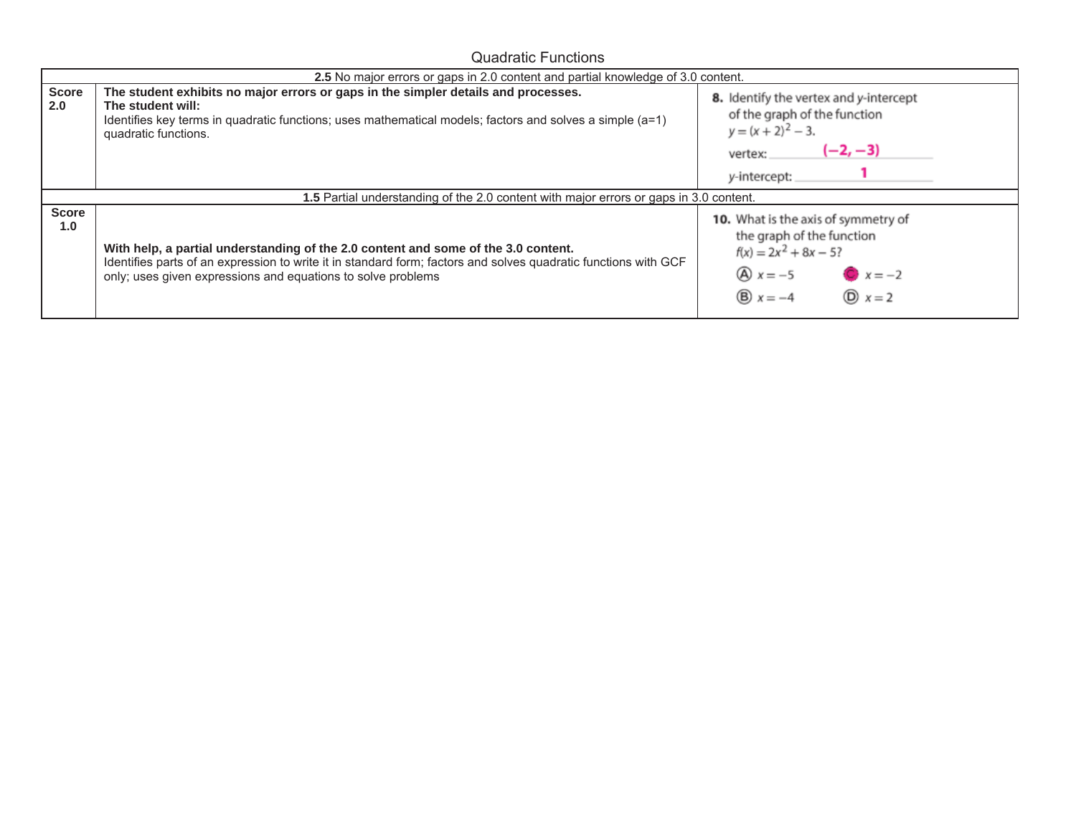Quadratic Functions

|                     | 2.5 No major errors or gaps in 2.0 content and partial knowledge of 3.0 content.                                                                                                                                                                                      |                                                                                                                                                                                   |
|---------------------|-----------------------------------------------------------------------------------------------------------------------------------------------------------------------------------------------------------------------------------------------------------------------|-----------------------------------------------------------------------------------------------------------------------------------------------------------------------------------|
| <b>Score</b><br>2.0 | The student exhibits no major errors or gaps in the simpler details and processes.<br>The student will:<br>Identifies key terms in quadratic functions; uses mathematical models; factors and solves a simple $(a=1)$<br>quadratic functions.                         | 8. Identify the vertex and y-intercept<br>of the graph of the function<br>$y = (x + 2)^2 - 3$ .<br>$(-2, -3)$<br>vertex:<br>y-intercept:                                          |
|                     | 1.5 Partial understanding of the 2.0 content with major errors or gaps in 3.0 content.                                                                                                                                                                                |                                                                                                                                                                                   |
| <b>Score</b><br>1.0 | With help, a partial understanding of the 2.0 content and some of the 3.0 content.<br>Identifies parts of an expression to write it in standard form; factors and solves quadratic functions with GCF<br>only; uses given expressions and equations to solve problems | 10. What is the axis of symmetry of<br>the graph of the function<br>$f(x) = 2x^2 + 8x - 5?$<br>$\textcircled{A}$ $x = -5$<br>$ x = -2 $<br>$\circled{D}$ $x=2$<br>$B \times = -4$ |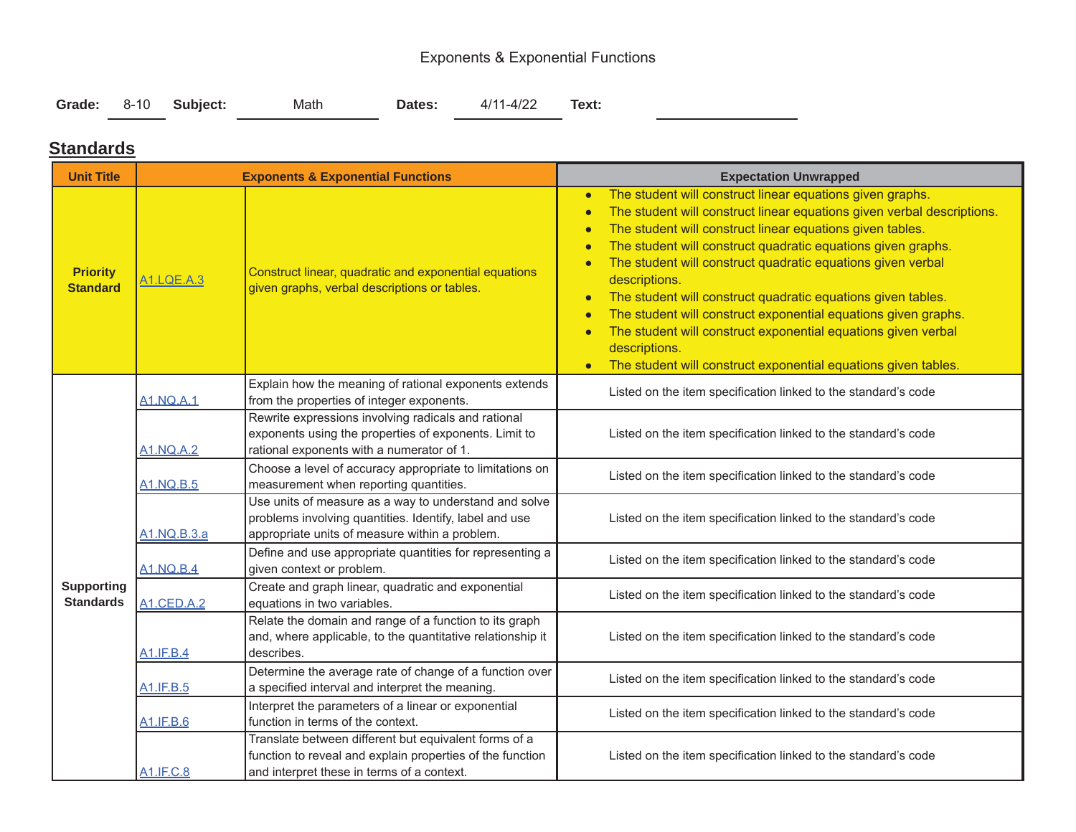## Exponents & Exponential Functions

|  | Grade: 8-10 Subject: | Math | <b>Dates:</b> | 4/11-4/22 | Text: |
|--|----------------------|------|---------------|-----------|-------|
|  |                      |      |               |           |       |

### **Standards**

| <b>Unit Title</b>                     | <b>Exponents &amp; Exponential Functions</b> |                                                                                                                                                                   | <b>Expectation Unwrapped</b>                                                                                                                                                                                                                                                                                                                                                                                                                                                                                                                                                                                                                                                                                                                   |  |  |
|---------------------------------------|----------------------------------------------|-------------------------------------------------------------------------------------------------------------------------------------------------------------------|------------------------------------------------------------------------------------------------------------------------------------------------------------------------------------------------------------------------------------------------------------------------------------------------------------------------------------------------------------------------------------------------------------------------------------------------------------------------------------------------------------------------------------------------------------------------------------------------------------------------------------------------------------------------------------------------------------------------------------------------|--|--|
| <b>Priority</b><br><b>Standard</b>    | A1.LQE.A.3                                   | Construct linear, quadratic and exponential equations<br>given graphs, verbal descriptions or tables.                                                             | The student will construct linear equations given graphs.<br>$\bullet$<br>The student will construct linear equations given verbal descriptions.<br>$\bullet$<br>The student will construct linear equations given tables.<br>$\bullet$<br>The student will construct quadratic equations given graphs.<br>$\bullet$<br>The student will construct quadratic equations given verbal<br>$\bullet$<br>descriptions.<br>The student will construct quadratic equations given tables.<br>The student will construct exponential equations given graphs.<br>$\bullet$<br>The student will construct exponential equations given verbal<br>$\bullet$<br>descriptions.<br>The student will construct exponential equations given tables.<br>$\bullet$ |  |  |
|                                       | <b>A1.NQ.A.1</b>                             | Explain how the meaning of rational exponents extends<br>from the properties of integer exponents.                                                                | Listed on the item specification linked to the standard's code                                                                                                                                                                                                                                                                                                                                                                                                                                                                                                                                                                                                                                                                                 |  |  |
|                                       | <b>A1.NQ.A.2</b>                             | Rewrite expressions involving radicals and rational<br>exponents using the properties of exponents. Limit to<br>rational exponents with a numerator of 1.         | Listed on the item specification linked to the standard's code                                                                                                                                                                                                                                                                                                                                                                                                                                                                                                                                                                                                                                                                                 |  |  |
|                                       | <b>A1.NQ.B.5</b>                             | Choose a level of accuracy appropriate to limitations on<br>measurement when reporting quantities.                                                                | Listed on the item specification linked to the standard's code                                                                                                                                                                                                                                                                                                                                                                                                                                                                                                                                                                                                                                                                                 |  |  |
|                                       | A1.NQ.B.3.a                                  | Use units of measure as a way to understand and solve<br>problems involving quantities. Identify, label and use<br>appropriate units of measure within a problem. | Listed on the item specification linked to the standard's code                                                                                                                                                                                                                                                                                                                                                                                                                                                                                                                                                                                                                                                                                 |  |  |
|                                       | <b>A1.NQ.B.4</b>                             | Define and use appropriate quantities for representing a<br>given context or problem.                                                                             | Listed on the item specification linked to the standard's code                                                                                                                                                                                                                                                                                                                                                                                                                                                                                                                                                                                                                                                                                 |  |  |
| <b>Supporting</b><br><b>Standards</b> | <b>A1.CED.A.2</b>                            | Create and graph linear, quadratic and exponential<br>equations in two variables.                                                                                 | Listed on the item specification linked to the standard's code                                                                                                                                                                                                                                                                                                                                                                                                                                                                                                                                                                                                                                                                                 |  |  |
|                                       | <b>A1.IF.B.4</b>                             | Relate the domain and range of a function to its graph<br>and, where applicable, to the quantitative relationship it<br>describes.                                | Listed on the item specification linked to the standard's code                                                                                                                                                                                                                                                                                                                                                                                                                                                                                                                                                                                                                                                                                 |  |  |
|                                       | A1.IF.B.5                                    | Determine the average rate of change of a function over<br>a specified interval and interpret the meaning.                                                        | Listed on the item specification linked to the standard's code                                                                                                                                                                                                                                                                                                                                                                                                                                                                                                                                                                                                                                                                                 |  |  |
|                                       | A1.IF.B.6                                    | Interpret the parameters of a linear or exponential<br>function in terms of the context.                                                                          | Listed on the item specification linked to the standard's code                                                                                                                                                                                                                                                                                                                                                                                                                                                                                                                                                                                                                                                                                 |  |  |
|                                       | A1.IF.C.8                                    | Translate between different but equivalent forms of a<br>function to reveal and explain properties of the function<br>and interpret these in terms of a context.  | Listed on the item specification linked to the standard's code                                                                                                                                                                                                                                                                                                                                                                                                                                                                                                                                                                                                                                                                                 |  |  |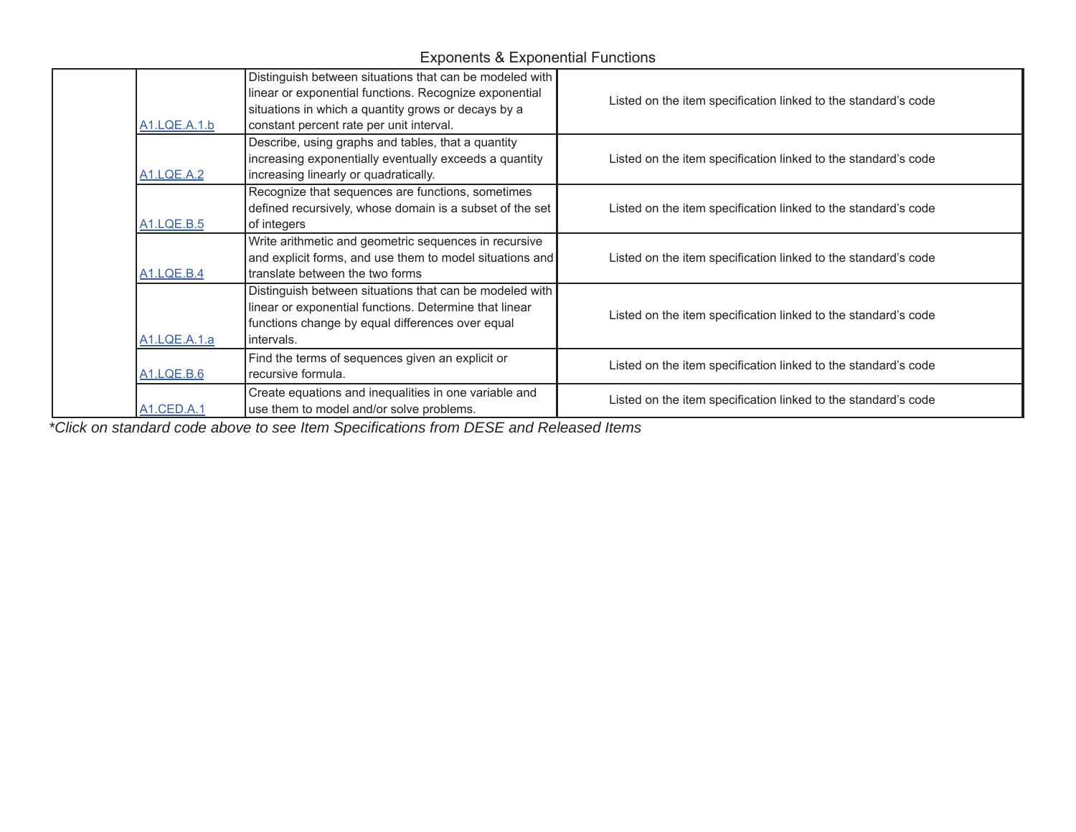Exponents & Exponential Functions

| A1.LQE.A.1.b      | Distinguish between situations that can be modeled with<br>linear or exponential functions. Recognize exponential<br>situations in which a quantity grows or decays by a<br>constant percent rate per unit interval. | Listed on the item specification linked to the standard's code |
|-------------------|----------------------------------------------------------------------------------------------------------------------------------------------------------------------------------------------------------------------|----------------------------------------------------------------|
| <b>A1.LQE.A.2</b> | Describe, using graphs and tables, that a quantity<br>increasing exponentially eventually exceeds a quantity<br>increasing linearly or quadratically.                                                                | Listed on the item specification linked to the standard's code |
| <b>A1.LQE.B.5</b> | Recognize that sequences are functions, sometimes<br>defined recursively, whose domain is a subset of the set<br>of integers                                                                                         | Listed on the item specification linked to the standard's code |
| <b>A1.LQE.B.4</b> | Write arithmetic and geometric sequences in recursive<br>and explicit forms, and use them to model situations and<br>translate between the two forms                                                                 | Listed on the item specification linked to the standard's code |
| A1.LQE.A.1.a      | Distinguish between situations that can be modeled with<br>linear or exponential functions. Determine that linear<br>functions change by equal differences over equal<br>intervals.                                  | Listed on the item specification linked to the standard's code |
| <b>A1.LQE.B.6</b> | Find the terms of sequences given an explicit or<br>recursive formula.                                                                                                                                               | Listed on the item specification linked to the standard's code |
| A1.CED.A.1        | Create equations and inequalities in one variable and<br>use them to model and/or solve problems.                                                                                                                    | Listed on the item specification linked to the standard's code |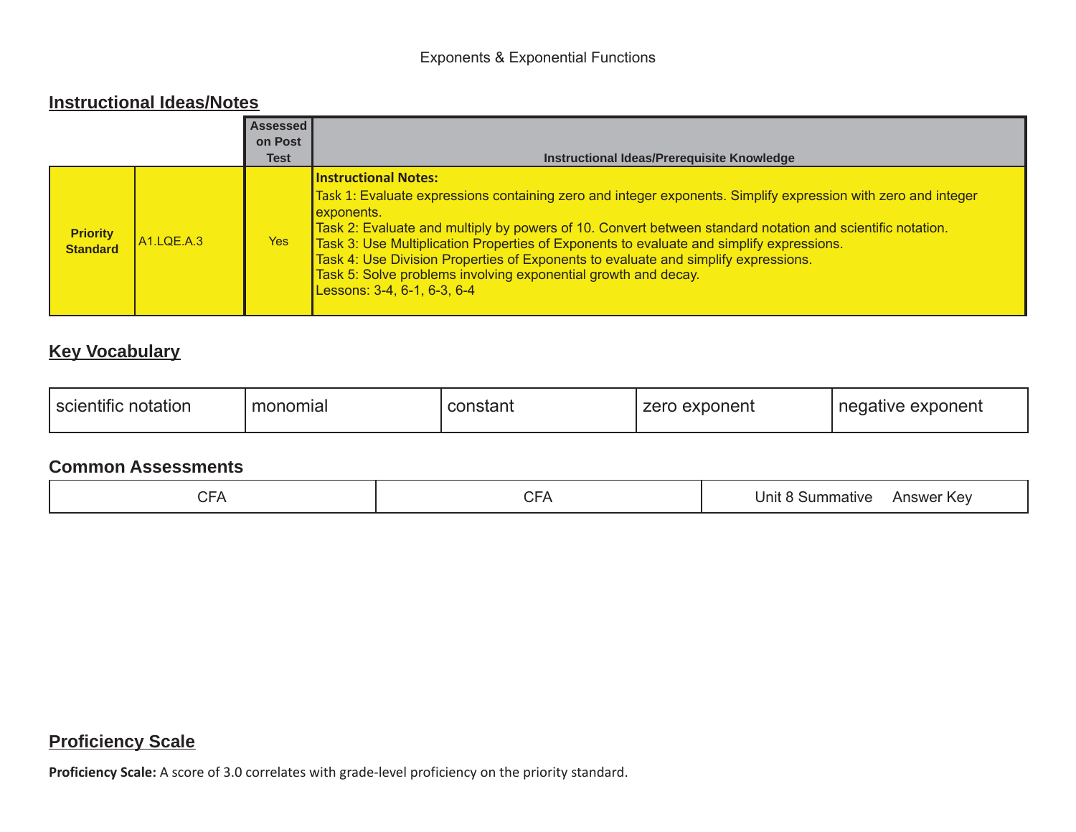### **Instructional Ideas/Notes**

|                                    |                         | <b>Assessed</b><br>on Post |                                                                                                                                                                                                                                                                                                                                                                                                                                                                                                                                                            |
|------------------------------------|-------------------------|----------------------------|------------------------------------------------------------------------------------------------------------------------------------------------------------------------------------------------------------------------------------------------------------------------------------------------------------------------------------------------------------------------------------------------------------------------------------------------------------------------------------------------------------------------------------------------------------|
|                                    |                         | <b>Test</b>                | Instructional Ideas/Prerequisite Knowledge                                                                                                                                                                                                                                                                                                                                                                                                                                                                                                                 |
| <b>Priority</b><br><b>Standard</b> | A <sub>1</sub> .LQE.A.3 | Yes                        | <b>Instructional Notes:</b><br>Task 1: Evaluate expressions containing zero and integer exponents. Simplify expression with zero and integer<br>exponents.<br>Task 2: Evaluate and multiply by powers of 10. Convert between standard notation and scientific notation.<br>Task 3: Use Multiplication Properties of Exponents to evaluate and simplify expressions.<br>Task 4: Use Division Properties of Exponents to evaluate and simplify expressions.<br>Task 5: Solve problems involving exponential growth and decay.<br>Lessons: 3-4, 6-1, 6-3, 6-4 |

## **Key Vocabulary**

| $\epsilon$ . $\epsilon$<br>monomial<br>notation<br>`scientific | constant | exponent<br>zero | exponent<br>cative |
|----------------------------------------------------------------|----------|------------------|--------------------|
|----------------------------------------------------------------|----------|------------------|--------------------|

### **Common Assessments**

| $\sim$ $\sim$<br>$\sim$ $-$<br>-<br>. .<br>.<br>້ | Kev<br>Jnı'<br>าmatıve<br>.5Um<br>Answer |
|---------------------------------------------------|------------------------------------------|
|---------------------------------------------------|------------------------------------------|

## **Proficiency Scale**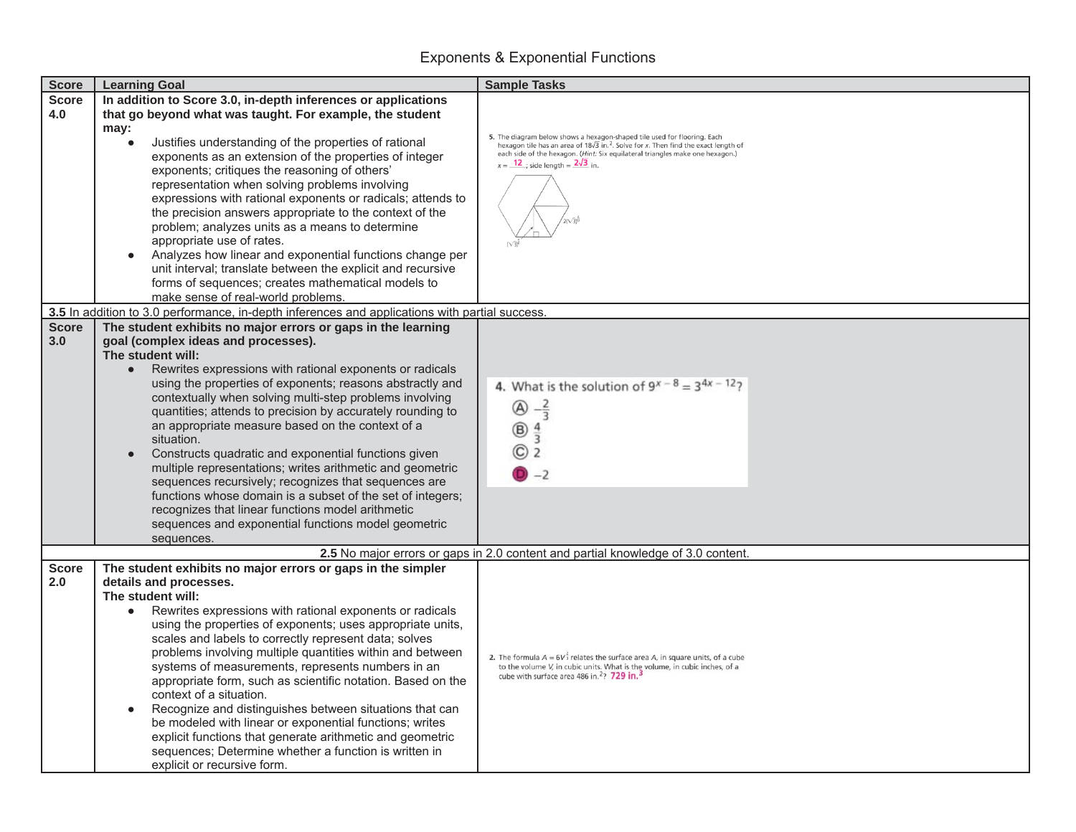## Exponents & Exponential Functions

| <b>Score</b> | <b>Learning Goal</b>                                                                           | <b>Sample Tasks</b>                                                                                                                                                             |
|--------------|------------------------------------------------------------------------------------------------|---------------------------------------------------------------------------------------------------------------------------------------------------------------------------------|
| <b>Score</b> | In addition to Score 3.0, in-depth inferences or applications                                  |                                                                                                                                                                                 |
| 4.0          | that go beyond what was taught. For example, the student                                       |                                                                                                                                                                                 |
|              | may:                                                                                           |                                                                                                                                                                                 |
|              | Justifies understanding of the properties of rational                                          | 5. The diagram below shows a hexagon-shaped tile used for flooring. Each hexagon tile has an area of $18\sqrt{3}$ in. <sup>2</sup> . Solve for x. Then find the exact length of |
|              | exponents as an extension of the properties of integer                                         | each side of the hexagon. (Hint: Six equilateral triangles make one hexagon.)                                                                                                   |
|              | exponents; critiques the reasoning of others'                                                  | $x = \frac{12}{12}$ ; side length = $\frac{2\sqrt{3}}{2}$ in.                                                                                                                   |
|              | representation when solving problems involving                                                 |                                                                                                                                                                                 |
|              | expressions with rational exponents or radicals; attends to                                    |                                                                                                                                                                                 |
|              |                                                                                                |                                                                                                                                                                                 |
|              | the precision answers appropriate to the context of the                                        |                                                                                                                                                                                 |
|              | problem; analyzes units as a means to determine                                                |                                                                                                                                                                                 |
|              | appropriate use of rates.                                                                      |                                                                                                                                                                                 |
|              | Analyzes how linear and exponential functions change per<br>$\bullet$                          |                                                                                                                                                                                 |
|              | unit interval; translate between the explicit and recursive                                    |                                                                                                                                                                                 |
|              | forms of sequences; creates mathematical models to                                             |                                                                                                                                                                                 |
|              | make sense of real-world problems.                                                             |                                                                                                                                                                                 |
|              | 3.5 In addition to 3.0 performance, in-depth inferences and applications with partial success. |                                                                                                                                                                                 |
| <b>Score</b> | The student exhibits no major errors or gaps in the learning                                   |                                                                                                                                                                                 |
| 3.0          | goal (complex ideas and processes).                                                            |                                                                                                                                                                                 |
|              | The student will:                                                                              |                                                                                                                                                                                 |
|              | Rewrites expressions with rational exponents or radicals                                       |                                                                                                                                                                                 |
|              |                                                                                                |                                                                                                                                                                                 |
|              | using the properties of exponents; reasons abstractly and                                      | 4. What is the solution of $9^{x-8} = 3^{4x-12}$ ?                                                                                                                              |
|              | contextually when solving multi-step problems involving                                        | $-\frac{2}{3}$<br>                                                                                                                                                              |
|              | quantities; attends to precision by accurately rounding to                                     |                                                                                                                                                                                 |
|              | an appropriate measure based on the context of a                                               | ®                                                                                                                                                                               |
|              | situation.                                                                                     |                                                                                                                                                                                 |
|              | Constructs quadratic and exponential functions given                                           | C)<br>2                                                                                                                                                                         |
|              | multiple representations; writes arithmetic and geometric                                      | $D - 2$                                                                                                                                                                         |
|              | sequences recursively; recognizes that sequences are                                           |                                                                                                                                                                                 |
|              | functions whose domain is a subset of the set of integers;                                     |                                                                                                                                                                                 |
|              | recognizes that linear functions model arithmetic                                              |                                                                                                                                                                                 |
|              | sequences and exponential functions model geometric                                            |                                                                                                                                                                                 |
|              | sequences.                                                                                     |                                                                                                                                                                                 |
|              |                                                                                                | 2.5 No major errors or gaps in 2.0 content and partial knowledge of 3.0 content.                                                                                                |
| <b>Score</b> | The student exhibits no major errors or gaps in the simpler                                    |                                                                                                                                                                                 |
| 2.0          | details and processes.                                                                         |                                                                                                                                                                                 |
|              |                                                                                                |                                                                                                                                                                                 |
|              | The student will:                                                                              |                                                                                                                                                                                 |
|              | Rewrites expressions with rational exponents or radicals<br>$\bullet$                          |                                                                                                                                                                                 |
|              | using the properties of exponents; uses appropriate units,                                     |                                                                                                                                                                                 |
|              | scales and labels to correctly represent data; solves                                          |                                                                                                                                                                                 |
|              | problems involving multiple quantities within and between                                      | 2. The formula $A = 6V_3^2$ relates the surface area A, in square units, of a cube                                                                                              |
|              | systems of measurements, represents numbers in an                                              | to the volume V, in cubic units. What is the volume, in cubic inches, of a                                                                                                      |
|              | appropriate form, such as scientific notation. Based on the                                    | cube with surface area 486 in. <sup>2</sup> ? 729 in. <sup>2</sup>                                                                                                              |
|              | context of a situation.                                                                        |                                                                                                                                                                                 |
|              | Recognize and distinguishes between situations that can                                        |                                                                                                                                                                                 |
|              | be modeled with linear or exponential functions; writes                                        |                                                                                                                                                                                 |
|              | explicit functions that generate arithmetic and geometric                                      |                                                                                                                                                                                 |
|              |                                                                                                |                                                                                                                                                                                 |
|              | sequences; Determine whether a function is written in                                          |                                                                                                                                                                                 |
|              | explicit or recursive form.                                                                    |                                                                                                                                                                                 |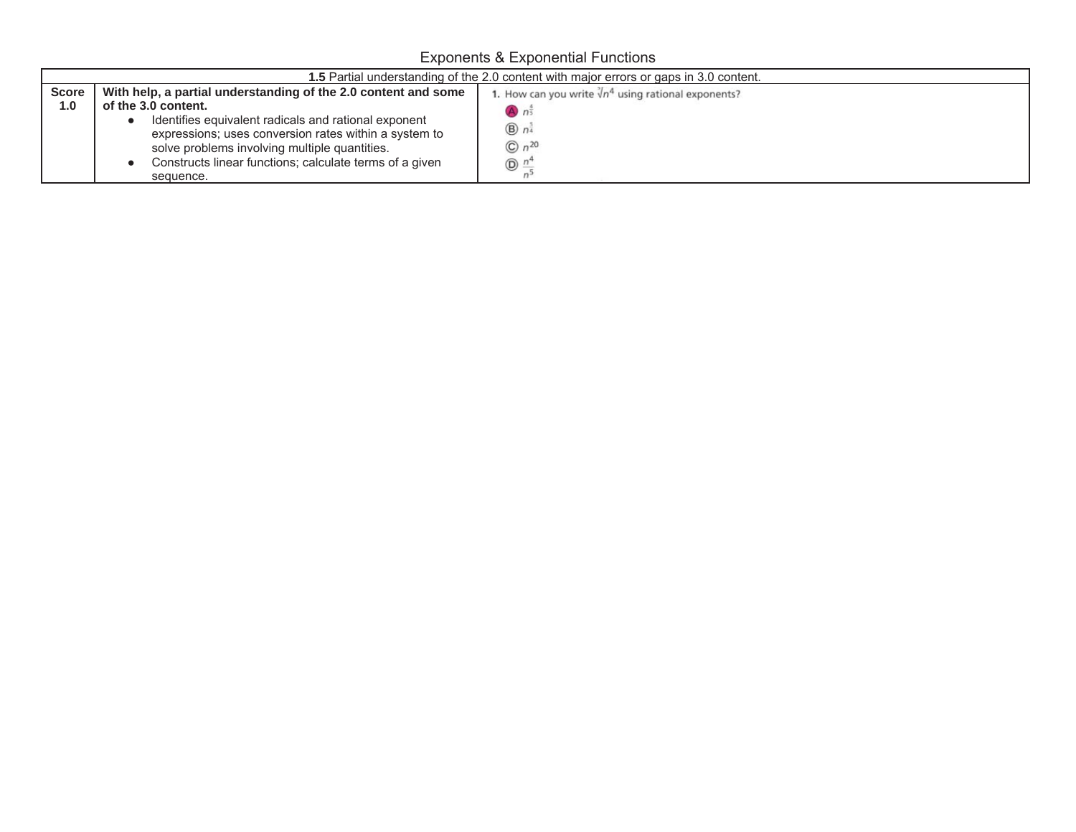Exponents & Exponential Functions

|                     | <b>1.5</b> Partial understanding of the 2.0 content with major errors or gaps in 3.0 content.                                                                                                                                                                                                                                   |                                                                                                                                                    |  |  |  |
|---------------------|---------------------------------------------------------------------------------------------------------------------------------------------------------------------------------------------------------------------------------------------------------------------------------------------------------------------------------|----------------------------------------------------------------------------------------------------------------------------------------------------|--|--|--|
| <b>Score</b><br>1.0 | With help, a partial understanding of the 2.0 content and some<br>of the 3.0 content.<br>Identifies equivalent radicals and rational exponent<br>expressions; uses conversion rates within a system to<br>solve problems involving multiple quantities.<br>Constructs linear functions; calculate terms of a given<br>sequence. | 1. How can you write $\sqrt[3]{n^4}$ using rational exponents?<br>$A \cap \overline{5}$<br>$\bigcirc$ n <sup>3</sup><br>$On^{20}$<br>$\circled{n}$ |  |  |  |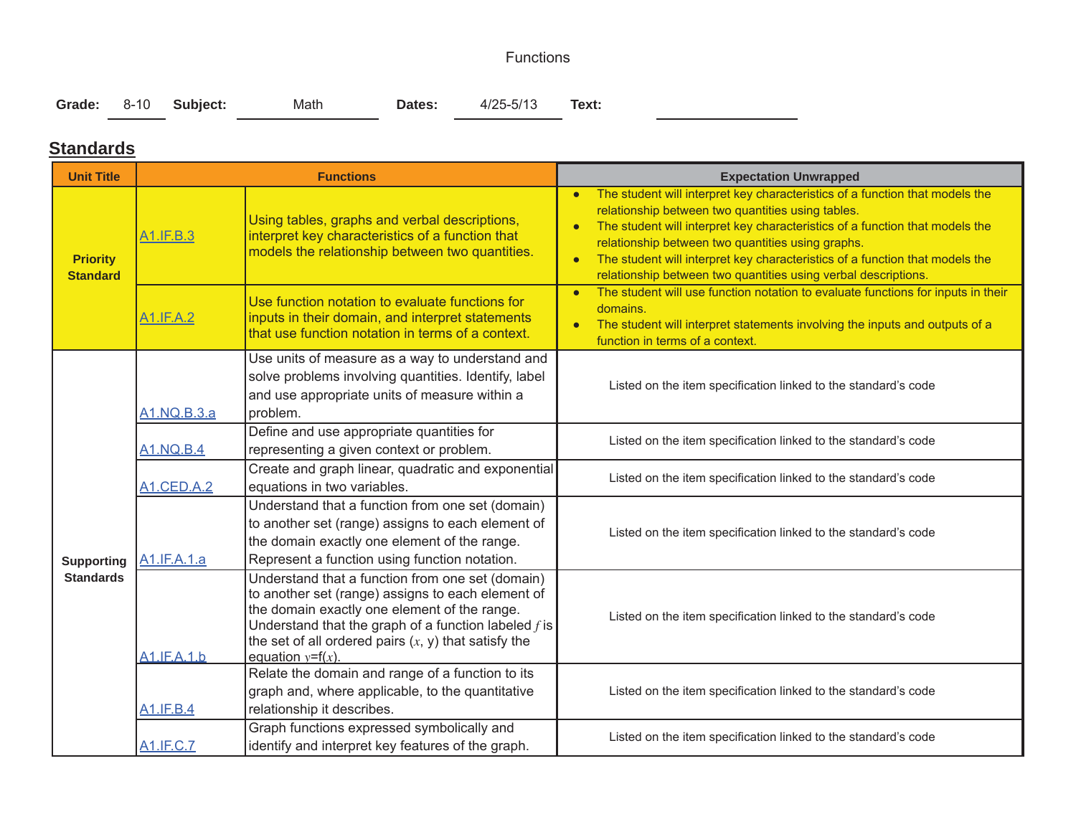#### Functions

| Grade: 8-10 Subject: |  |  | Math | Dates: | 4/25-5/13 | Text: |
|----------------------|--|--|------|--------|-----------|-------|
|----------------------|--|--|------|--------|-----------|-------|

### **Standards**

 $\overline{\phantom{0}}$ 

| <b>Unit Title</b>                  | <b>Functions</b>  |                                                                                                                                                                                                                                                                                                  | <b>Expectation Unwrapped</b>                                                                                                                                                                                                                                                                                                                                                                                                                       |  |  |
|------------------------------------|-------------------|--------------------------------------------------------------------------------------------------------------------------------------------------------------------------------------------------------------------------------------------------------------------------------------------------|----------------------------------------------------------------------------------------------------------------------------------------------------------------------------------------------------------------------------------------------------------------------------------------------------------------------------------------------------------------------------------------------------------------------------------------------------|--|--|
| <b>Priority</b><br><b>Standard</b> | A1.IF.B.3         | Using tables, graphs and verbal descriptions,<br>interpret key characteristics of a function that<br>models the relationship between two quantities.                                                                                                                                             | The student will interpret key characteristics of a function that models the<br>relationship between two quantities using tables.<br>The student will interpret key characteristics of a function that models the<br>$\bullet$<br>relationship between two quantities using graphs.<br>The student will interpret key characteristics of a function that models the<br>$\bullet$<br>relationship between two quantities using verbal descriptions. |  |  |
|                                    | <b>A1.IF.A.2</b>  | Use function notation to evaluate functions for<br>inputs in their domain, and interpret statements<br>that use function notation in terms of a context.                                                                                                                                         | The student will use function notation to evaluate functions for inputs in their<br>$\bullet$<br>domains.<br>The student will interpret statements involving the inputs and outputs of a<br>function in terms of a context.                                                                                                                                                                                                                        |  |  |
|                                    | A1.NQ.B.3.a       | Use units of measure as a way to understand and<br>solve problems involving quantities. Identify, label<br>and use appropriate units of measure within a<br>problem.                                                                                                                             | Listed on the item specification linked to the standard's code                                                                                                                                                                                                                                                                                                                                                                                     |  |  |
|                                    | <b>A1.NQ.B.4</b>  | Define and use appropriate quantities for<br>representing a given context or problem.                                                                                                                                                                                                            | Listed on the item specification linked to the standard's code                                                                                                                                                                                                                                                                                                                                                                                     |  |  |
|                                    | <b>A1.CED.A.2</b> | Create and graph linear, quadratic and exponential<br>equations in two variables.                                                                                                                                                                                                                | Listed on the item specification linked to the standard's code                                                                                                                                                                                                                                                                                                                                                                                     |  |  |
| <b>Supporting</b>                  | A1.IF.A.1.a       | Understand that a function from one set (domain)<br>to another set (range) assigns to each element of<br>the domain exactly one element of the range.<br>Represent a function using function notation.                                                                                           | Listed on the item specification linked to the standard's code                                                                                                                                                                                                                                                                                                                                                                                     |  |  |
| <b>Standards</b>                   | A1.IF.A.1.b       | Understand that a function from one set (domain)<br>to another set (range) assigns to each element of<br>the domain exactly one element of the range.<br>Understand that the graph of a function labeled $f$ is<br>the set of all ordered pairs $(x, y)$ that satisfy the<br>equation $y=f(x)$ . | Listed on the item specification linked to the standard's code                                                                                                                                                                                                                                                                                                                                                                                     |  |  |
|                                    | <b>A1.IF.B.4</b>  | Relate the domain and range of a function to its<br>graph and, where applicable, to the quantitative<br>relationship it describes.                                                                                                                                                               | Listed on the item specification linked to the standard's code                                                                                                                                                                                                                                                                                                                                                                                     |  |  |
|                                    | <b>A1.IF.C.7</b>  | Graph functions expressed symbolically and<br>identify and interpret key features of the graph.                                                                                                                                                                                                  | Listed on the item specification linked to the standard's code                                                                                                                                                                                                                                                                                                                                                                                     |  |  |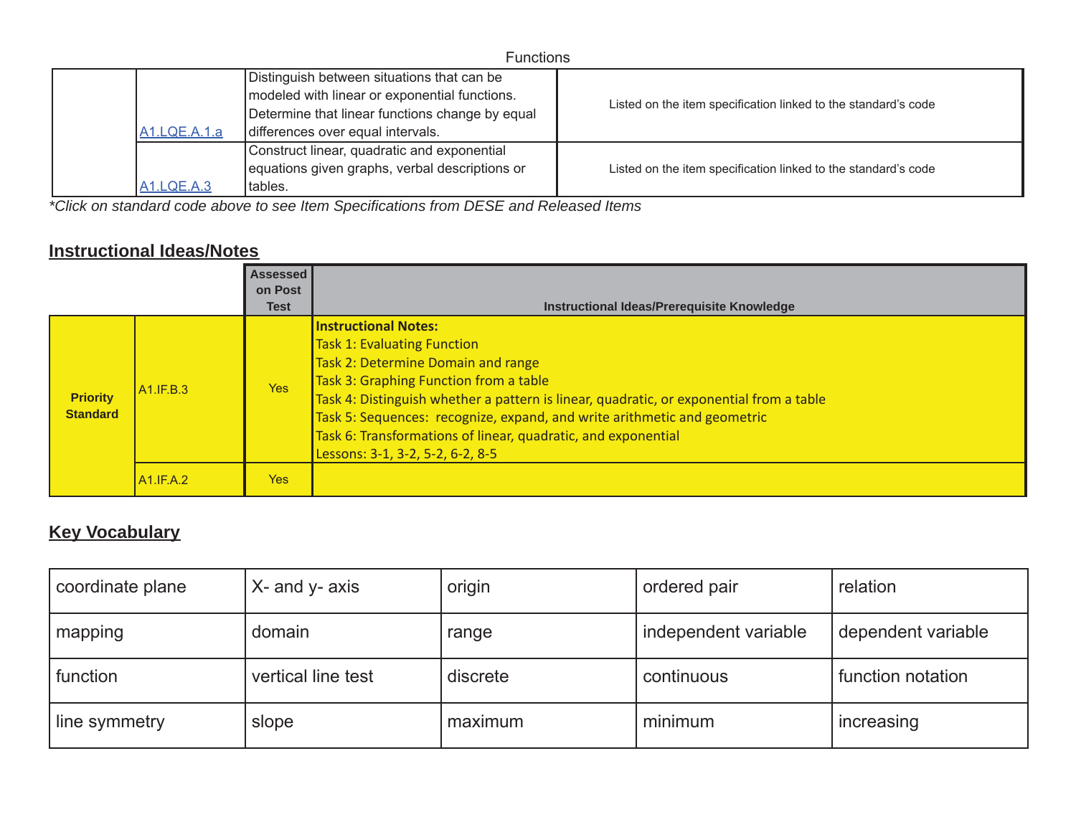| <b>Functions</b>  |                                                                                                                                                                                     |                                                                |  |  |
|-------------------|-------------------------------------------------------------------------------------------------------------------------------------------------------------------------------------|----------------------------------------------------------------|--|--|
| A1.LQE.A.1.a      | Distinguish between situations that can be<br>modeled with linear or exponential functions.<br>Determine that linear functions change by equal<br>differences over equal intervals. | Listed on the item specification linked to the standard's code |  |  |
| <b>A1.LQE.A.3</b> | Construct linear, quadratic and exponential<br>equations given graphs, verbal descriptions or<br>tables.                                                                            | Listed on the item specification linked to the standard's code |  |  |

*\*Click on standard code above to see Item Specifications from DESE and Released Items*

### **Instructional Ideas/Notes**

|                                    |              | <b>Assessed</b><br>on Post<br><b>Test</b> | Instructional Ideas/Prerequisite Knowledge                                                                                                                                                                                                                                                                                                                                                                                    |
|------------------------------------|--------------|-------------------------------------------|-------------------------------------------------------------------------------------------------------------------------------------------------------------------------------------------------------------------------------------------------------------------------------------------------------------------------------------------------------------------------------------------------------------------------------|
| <b>Priority</b><br><b>Standard</b> | A1.F.B.3     | <b>Yes</b>                                | <b>Instructional Notes:</b><br><b>Task 1: Evaluating Function</b><br>Task 2: Determine Domain and range<br>Task 3: Graphing Function from a table<br>Task 4: Distinguish whether a pattern is linear, quadratic, or exponential from a table<br>Task 5: Sequences: recognize, expand, and write arithmetic and geometric<br>Task 6: Transformations of linear, quadratic, and exponential<br>Lessons: 3-1, 3-2, 5-2, 6-2, 8-5 |
|                                    | $AA$ .IF.A.2 | Yes                                       |                                                                                                                                                                                                                                                                                                                                                                                                                               |

## **Key Vocabulary**

| coordinate plane | X- and y- axis     | origin   | ordered pair         | relation           |
|------------------|--------------------|----------|----------------------|--------------------|
| mapping          | domain             | range    | independent variable | dependent variable |
| function         | vertical line test | discrete | continuous           | function notation  |
| line symmetry    | slope              | maximum  | minimum              | increasing         |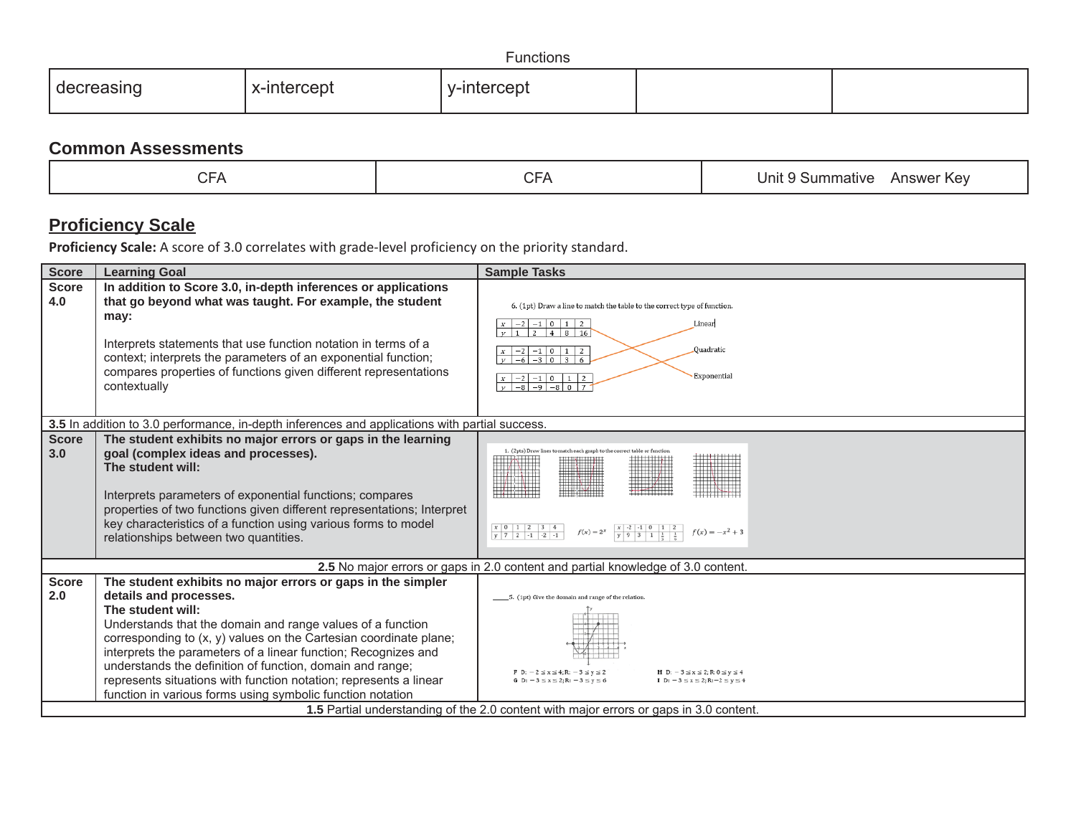| .<br>Functions |                    |         |  |  |
|----------------|--------------------|---------|--|--|
| 1511 IC        | $-$<br>∡–ır<br>epr | :⊢! ) I |  |  |

### **Common Assessments**

## **Proficiency Scale**

| <b>Score</b>        | <b>Learning Goal</b>                                                                                                                                                                                                                                                                                                                                                                                                                                                                                            | <b>Sample Tasks</b>                                                                                                                                                                                                                                                                                     |
|---------------------|-----------------------------------------------------------------------------------------------------------------------------------------------------------------------------------------------------------------------------------------------------------------------------------------------------------------------------------------------------------------------------------------------------------------------------------------------------------------------------------------------------------------|---------------------------------------------------------------------------------------------------------------------------------------------------------------------------------------------------------------------------------------------------------------------------------------------------------|
| <b>Score</b><br>4.0 | In addition to Score 3.0, in-depth inferences or applications<br>that go beyond what was taught. For example, the student<br>may:<br>Interprets statements that use function notation in terms of a<br>context; interprets the parameters of an exponential function;<br>compares properties of functions given different representations<br>contextually                                                                                                                                                       | 6. (1pt) Draw a line to match the table to the correct type of function.<br>$x \mid -2 \mid -1 \mid 0 \mid 1 \mid 2$<br>Linear<br>$\frac{1}{4}$ 8 16<br>$v \mid 1 \mid 2$<br>Quadratic<br>$-2$ -1 0 1 2<br>$-6$ $-3$ 0 3<br>Exponential<br>$x \mid -2 \mid -1 \mid 0 \mid 1 \mid 2$<br>$V$ -8 -9 -8 0 7 |
|                     | 3.5 In addition to 3.0 performance, in-depth inferences and applications with partial success.                                                                                                                                                                                                                                                                                                                                                                                                                  |                                                                                                                                                                                                                                                                                                         |
| <b>Score</b><br>3.0 | The student exhibits no major errors or gaps in the learning<br>goal (complex ideas and processes).<br>The student will:<br>Interprets parameters of exponential functions; compares<br>properties of two functions given different representations; Interpret<br>key characteristics of a function using various forms to model<br>relationships between two quantities.                                                                                                                                       | 1. (2pts) Draw lines to match each graph to the correct table or function<br>HI) MII<br>$\begin{array}{c cccccc} x & 0 & 1 & 2 & 3 & 4 \\ \hline y & 7 & 2 & -1 & -2 & -1 \end{array}$<br>$x \rightarrow 2$ -1 0 1 2<br>y 9 3 1 $\frac{1}{x}$ $\frac{1}{x}$<br>$f(x) = 2^x$<br>$f(x) = -x^2 + 3$        |
|                     |                                                                                                                                                                                                                                                                                                                                                                                                                                                                                                                 | 2.5 No major errors or gaps in 2.0 content and partial knowledge of 3.0 content.                                                                                                                                                                                                                        |
| <b>Score</b><br>2.0 | The student exhibits no major errors or gaps in the simpler<br>details and processes.<br>The student will:<br>Understands that the domain and range values of a function<br>corresponding to (x, y) values on the Cartesian coordinate plane;<br>interprets the parameters of a linear function; Recognizes and<br>understands the definition of function, domain and range;<br>represents situations with function notation; represents a linear<br>function in various forms using symbolic function notation | _5. (1pt) Give the domain and range of the relation.<br><b>H</b> D: $-3 \le x \le 2$ ; R: 0 ≤ y ≤ 4<br>$\mathbf{F} \ \mathbf{D}$ : $-2 \le x \le 4$ ; R: $-3 \le y \le 2$<br>I D: $-3 \le x \le 2$ : R: $-2 \le y \le 4$<br>G D: $-3 \le x \le 2$ : R: $-3 \le y \le 6$                                 |
|                     |                                                                                                                                                                                                                                                                                                                                                                                                                                                                                                                 | 1.5 Partial understanding of the 2.0 content with major errors or gaps in 3.0 content.                                                                                                                                                                                                                  |